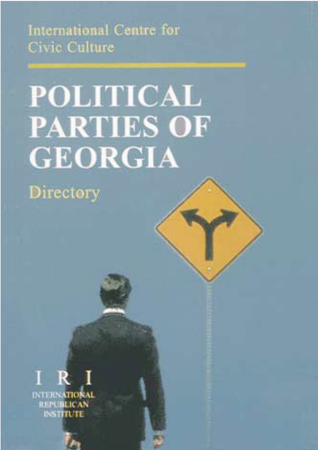International Centre for Civic Culture

# **POLITICAL PARTIES OF GEORGIA**

Directory



INTERNATION **REPUBLICAN INSTITUTE**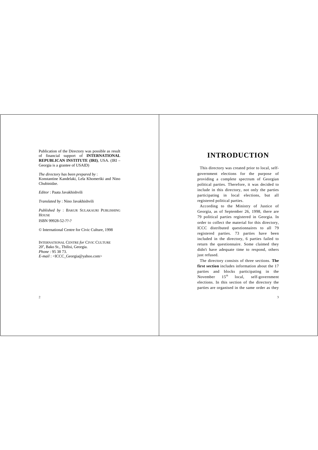Publication of the Directory was possible as result of financial support of **INTERNATIONAL REPUBLICAN INSTITUTE (IRI)**, USA. (IRI – Georgia is a grantee of USAID)

*The directory has been prepared by* : Konstantine Kandelaki, Lela Khomeriki and Nino Chubinidze.

*Editor* : Paata Javakhishvili

*Translated by* : Nino Javakhishvili

*Published by* : BAKUR SULAKAURI PUBLISHING **HOUSE** ISBN 99928-52-??-?

© International Centre for Civic Culture, 1998

INTERNATIONAL CENTRE *for* CIVIC CULTURE 20<sup>a</sup>, Bako St., Tbilisi, Georgia. *Phone* : 95 38 73. *E-mail* : <ICCC\_Georgia@yahoo.com>

# **INTRODUCTION**

This directory was created prior to local, selfgovernment elections for the purpose of providing a complete spectrum of Georgian political parties. Therefore, it was decided to include in this directory, not only the parties participating in local elections, but all registered political parties.

According to the Ministry of Justice of Georgia, as of September 26, 1998, there are 79 political parties registered in Georgia. In order to collect the material for this directory, ICCC distributed questionnaires to all 79 registered parties. 73 parties have been included in the directory, 6 parties failed to return the questionnaire. Some claimed they didn't have adequate time to respond, others just refused.

The directory consists of three sections. **The first section** includes information about the 17 parties and blocks participating in the November 15<sup>th</sup> local, self-government elections. In this section of the directory the parties are organised in the same order as they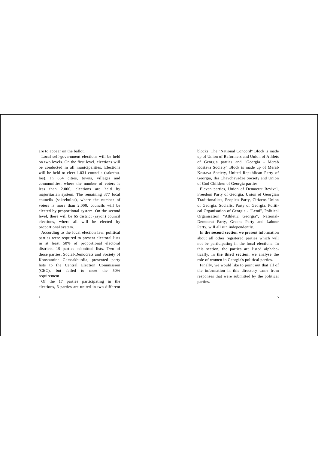are to appear on the ballot.

Local self-government elections will be held on two levels. On the first level, elections will be conducted in all municipalities. Elections will be held to elect 1.031 councils (sakrebulos). In 654 cities, towns, villages and communities, where the number of voters is less than 2.000, elections are held by majoritarian system. The remaining 377 local councils (sakrebulos), where the number of voters is more than 2.000, councils will be elected by proportional system. On the second level, there will be 65 district (rayon) council elections, where all will be elected by proportional system.

According to the local election law, political parties were required to present electoral lists in at least 50% of proportional electoral districts. 19 parties submitted lists. Two of those parties, Social-Democrats and Society of Konstantine Gamsakhurdia, presented party lists to the Central Election Commission (CEC), but failed to meet the 50% requirement.

Of the 17 parties participating in the elections, 6 parties are united in two different blocks. The "National Concord" Block is made up of Union of Reformers and Union of Athlets of Georgia parties and "Georgia - Merab Kostava Society" Block is made up of Merab Kostava Society, United Republican Party of Georgia, Ilia Chavchavadze Society and Union of God Children of Georgia parties.

Eleven parties, Union of Democrat Revival, Freedom Party of Georgia, Union of Georgian Traditionalists, People's Party, Citizens Union of Georgia, Socialist Party of Georgia, Political Organisation of Georgia - "Lemi", Political Organisation "Athletic Georgia", National-Democrat Party, Greens Party and Labour Party, will all run independently.

In **the second section** we present information about all other registered parties which will not be participating in the local elections. In this section, the parties are listed alphabetically. In **the third section**, we analyse the role of women in Georgia's political parties.

Finally, we would like to point out that all of the information in this directory came from responses that were submitted by the political parties.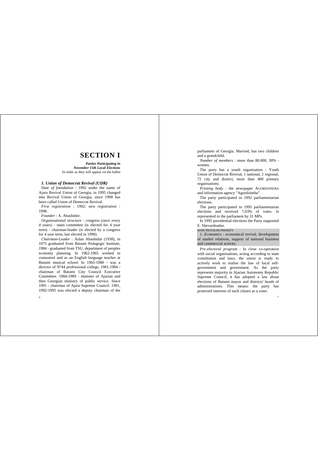# **SECTION I**

*Parties Participating in November 15th Local Elections* In order as they will appear on the ballot

#### *1. Union of Democrat Revival (UDR)*

*Date of foundation* : 1992 under the name of Ajara Revival Union of Georgia, in 1995 changed into Revival Union of Georgia, since 1998 has been called Union of Democrat Revival.

*First registration* : 1992; *new registration* : 1998.

*Founder* : A. Abashidze.

*Organisational structure* : congress (once every 4 years) - main committee (is elected for 4 year term) - chairman-leader (is elected by a congress for 4 year term, last elected in 1998).

*Chairman-Leader* : Aslan Abashidze (1938), in 1975 graduated from Batumi Pedagogic Institute, 1984 - graduated from TSU, department of peoples economy planning. In 1962-1965 worked in comsomol and as an English language teacher at Batumi musical school. In 1965-1980 - was a director of N°44 professional college, 1981-1984 chairman of Batumi City Council Executive Committee. 1984-1989 - minister of Ajarian and then Georgian ministry of public service. Since 1991 - chairman of Ajara Supreme Council. 1991, 1992-1995 was elected a deputy chairman of the parliament of Georgia. Married, has two children and a grandchild.

*Number of members* : more than 80.000, 30% women.

The party has a youth organisation - Youth Union of Democrat Revival, 1 national, 1 regional, 72 city and district, more than 400 primary organisations.

*Printing body* : the newspaper AGORDZINEBA and information agency "Agordzineba".

The party participated in 1992 parliamentarian elections.

The party participated in 1995 parliamentarian elections and received 7,03% of votes. Is represented in the parliament by 31 MPs.

In 1995 presidential elections the Party supported E. Shevardnadze.

MAIN PROGRAM PRIORITY

1. *Economics* : economical revival, development of market relations, support of national business and commercial activity.

*Pre-electoral program* : In close co-operation with social organisations, acting according to state constitution and laws, the union is ready to actively work to realise the law of local selfgovernment and government. As the party represents majority in Ajarian Autonomy Republic Supreme Council, it has adopted a law about elections of Batumi mayor and districts' heads of administrations. This means: the party has protected interests of each citizen as a voter.

 $\overline{7}$ 

6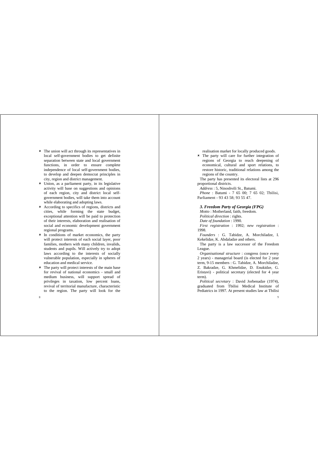- 8 The union will act through its representatives in local self-government bodies to get definite separation between state and local government functions, in order to ensure complete independence of local self-government bodies, to develop and deepen democrat principles in city, region and district management.
- 8 Union, as a parliament party, in its legislative activity will base on suggestions and opinions of each region, city and district local selfgovernment bodies, will take them into account while elaborating and adopting laws.
- 8 According to specifics of regions, districts and cities, while forming the state budget, exceptional attention will be paid to protection of their interests, elaboration and realisation of social and economic development government regional programs.
- 8 In conditions of market economics, the party will protect interests of each social layer, poor families, mothers with many children, invalids, students and pupils. Will actively try to adopt laws according to the interests of socially vulnerable population, especially in spheres of education and medical service.
- 8 The party will protect interests of the main base for revival of national economics - small and medium business, will support spread of privileges in taxation, low percent loans, revival of territorial manufacture, characteristic to the region. The party will look for the

realisation market for locally produced goods.

8 The party will care for further integration of regions of Georgia to reach deepening of economical, cultural and sport relations, to restore historic, traditional relations among the regions of the country.

The party has presented its electoral lists at 296 proportional districts.

*Address* : 5, Ninoshvili St., Batumi. *Phone* : Batumi - 7 65 00; 7 65 02; Tbilisi, Parliament - 93 43 58; 93 55 47.

# *3. Freedom Party of Georgia (FPG)*

*Motto* : Motherland, faith, freedom. *Political direction* : rights. *Date of foundation* : 1990. *First registration* : 1992; *new registration* : 1998.

*Founders* : G. Tabidze, A. Morchiladze, I. Kekelidze, K. Abdaladze and others.

The party is a law successor of the Freedom League.

*Organisational structure* : congress (once every 2 years) - managerial board (is elected for 2 year term, 9-15 members : G. Tabidze, A. Morchiladze, Z. Bakradze, G. Khmelidze, D. Enukidze, G. Eristavi) - political secretary (elected for 4 year term).

*Political secretary* : David Jorbenadze (1974), graduated from Tbilisi Medical Institute of Pediatrics in 1997. At present studies law at Tbilisi

8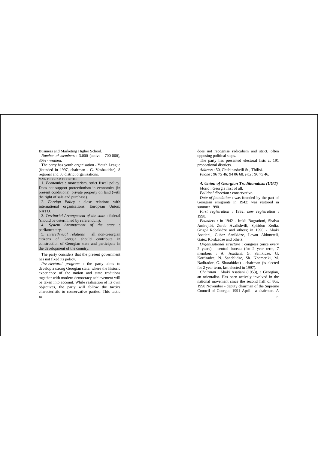Business and Marketing Higher School.

*Number of members* : 3.000 (active - 700-800), 30% - women.

The party has youth organisation - Youth League (founded in 1997, chairman - G. Vashakidze), 8 regional and 30 district organisations.

MAIN PROGRAM PRIORITIES

1. *Economics* : monetarism, strict fiscal policy. Does not support protectionism in economics (in present conditions), private property on land (with the right of sale and purchase).

2. *Foreign Policy* : close relations with international organisations: European Union; NATO.

3. *Territorial Arrangement of the state* : federal (should be determined by referendum).

4. *System Arrangement of the state* : parliamentary.

5. *Interethnical relations* : all non-Georgian citizens of Georgia should contribute in construction of Georgian state and participate in the development of the country.

The party considers that the present government has not fixed its policy.

 $10<sub>10</sub>$ *Pre-electoral program* : the party aims to develop a strong Georgian state, where the historic experience of the nation and state traditions together with modern democracy achievement will be taken into account. While realisation of its own objectives, the party will follow the tactics characteristic to conservative parties. This tactic does not recognise radicalism and strict, often opposing political steps.

The party has presented electoral lists at 191 proportional districts.

*Address* : 50, Chubinashvili St., Tbilisi. *Phone* : 96 75 46; 94 06 68. *Fax* : 96 75 46.

# *4. Union of Georgian Traditionalists (UGT)*

*Motto* : Georgia first of all.

*Political direction* : conservative.

*Date of foundation* : was founded by the part of Georgian emigrants in 1942; was restored in summer 1990.

*First registration* : 1992; *new registration* : 1998.

*Founders* : in 1942 - Irakli Bagrationi, Shalva Amirejibi, Zurab Avalishvili, Spiridon Kedia, Grigol Robakidze and others; in 1990 - Akaki Asatiani, Gubaz Sanikidze, Levan Akhmeteli, Gaioz Kordzadze and others.

*Organisational structure* : congress (once every 2 years) - central bureau (for 2 year term, 7 members : A. Asatiani, G. Sanikidze, G. Kordzadze, N. Saneblidze, Sh. Khomeriki, M. Nadiradze, G. Sharabidze) - chairman (is elected for 2 year term, last elected in 1997).

*Chairman* : Akaki Asatiani (1953), a Georgian, an orientalist. Has been actively involved in the national movement since the second half of 80s. 1990 November - deputy chairman of the Supreme Council of Georgia; 1991 April - a chairman. A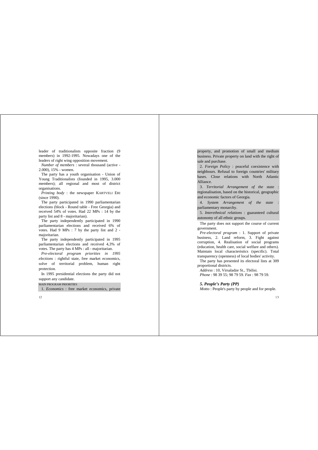leader of traditionalists opposite fraction (9 members) in 1992-1995. Nowadays one of the leaders of right wing opposition movement.

*Number of members* : several thousand (active - 2.000), 15% - women.

The party has a youth organisation - Union of Young Traditionalists (founded in 1995, 3.000 members); all regional and most of district organisations.

*Printing body* : the newspaper KARTVELI ERI (since 1990).

The party participated in 1990 parliamentarian elections (block - Round table - Free Georgia) and received 54% of votes. Had 22 MPs : 14 by the party list and 8 - majoritarian).

The party independently participated in 1990 parliamentarian elections and received 6% of votes. Had 9 MPs : 7 by the party list and 2 majoritarian.

The party independently participated in 1995 parliamentarian elections and received 4,3% of votes. The party has 4 MPs : all - majoritarian.

*Pre-electoral program priorities in 1995 elections* : rightful state, free market economics, solve of territorial problem, human right protection.

In 1995 presidential elections the party did not support any candidate.

MAIN PROGRAM PRIORITIES

1. *Economics* : free market economics, private

 $12$ 

property, and promotion of small and medium business. Private property on land with the right of sale and purchase.

2. *Foreign Policy* : peaceful coexistence with neighbours. Refusal to foreign countries' military bases. Close relations with North Atlantic Alliance.

3. *Territorial Arrangement of the state* : regionalisation, based on the historical, geographic and economic factors of Georgia.

4. *System Arrangement of the state* : parliamentary monarchy.

5. *Interethnical relations* : guaranteed cultural autonomy of all ethnic groups.

The party does not support the course of current government.

*Pre-electoral program* : 1. Support of private business, 2. Land reform, 3. Fight against corruption, 4. Realisation of social programs (education, health care, social welfare and others). Maintain local characteristics (specific). Total transparency (openness) of local bodies' activity.

The party has presented its electoral lists at 309 proportional districts.

*Address* : 10, Virsaladze St., Tbilisi. *Phone* : 98 39 55; 98 79 59. *Fax* : 98 79 59.

*5. People's Party (PP)*

*Motto* : People's party by people and for people.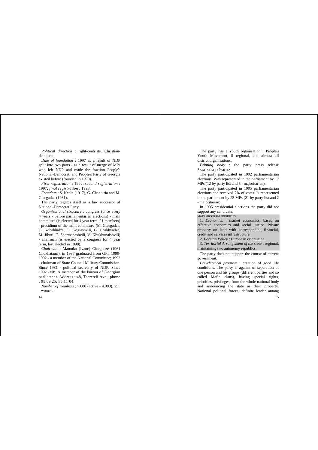*Political direction* : right-centrists, Christiandemocrat.

*Date of foundation* : 1997 as a result of NDP split into two parts - as a result of merge of MPs who left NDP and made the fraction People's National-Democrat, and People's Party of Georgia existed before (founded in 1990).

*First registration* : 1992; *second registration* : 1997; *final registration* : 1998.

*Founders* : S. Kedia (1917), G. Chanturia and M. Giorgadze (1981).

The party regards itself as a law successor of National-Democrat Party.

*Organisational structure* : congress (once every 4 years - before parliamentarian elections) - main committee (is elected for 4 year term, 21 members) - presidium of the main committee (M. Giorgadze, G. Kobakhidze, G. Gogiashvili, G. Chakhvadze, M. Jibuti, T. Sharmanashvili, V. Khukhunaishvili) - chairman (is elected by a congress for 4 year term, last elected in 1998).

*Chairman* : Mamuka (Ivane) Giorgadze (1961 Chokhatauri), in 1987 graduated from GPI. 1990- 1992 - a member of the National Committee; 1992 - chairman of State Council Military Commission. Since 1981 - political secretary of NDP. Since 1992 -MP. A member of the bureau of Georgian parliament. Address : 48, Tsereteli Ave., phone : 95 69 25; 35 11 04.

*Number of members* : 7.000 (active - 4.000), 255 - women.

 $14$ 

The party has a youth organisation : People's Youth Movement, 8 regional, and almost all district organisations.

*Printing body* : the party press release SAKHALKHO PARTIA.

The party participated in 1992 parliamentarian elections. Was represented in the parliament by 17 MPs (12 by party list and 5 - majoritarian).

The party participated in 1995 parliamentarian elections and received 7% of votes. Is represented in the parliament by 23 MPs (21 by party list and 2 - majoritarian).

In 1995 presidential elections the party did not support any candidate.

MAIN PROGRAM PRIORITIES

1. *Economics* : market economics, based on effective economics and social justice. Private property on land with corresponding financial, credit and services infrastructure.

2. *Foreign Policy* : European orientation.

3. *Territorial Arrangement of the state* : regional, maintaining two autonomy republics.

The party does not support the course of current government.

*Pre-electoral program* : creation of good life conditions. The party is against of separation of one person and his groups (different parties and so called Mafia clans), having special rights, priorities, privileges, from the whole national body and announcing the state as their property. National political forces, definite leader among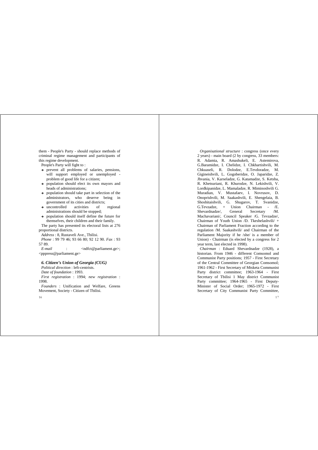them - People's Party - should replace methods of criminal regime management and participants of this regime development.

People's Party will fight to :

- $\rightarrow$  prevent all problems of salaries, pensions, will support employed or unemployed problem of good life for a citizen;
- $\rightarrow$  population should elect its own mayors and heads of administrations;
- $\rightarrow$  population should take part in selection of the administrators, who deserve being in government of its cities and districts;
- **a** uncontrolled activities of regional administrations should be stopped;
- $\rightarrow$  population should itself define the future for themselves, their children and their family.

The party has presented its electoral lists at 276 proportional districts.

*Address* : 8, Rustaveli Ave., Tbilisi. *Phone* : 99 79 46; 93 66 80; 92 12 90. *Fax* : 93 57 89.

*E-mail* : <ndfct@parliament.ge>; <pppress@parliament.ge>

#### *6. Citizen's Union of Georgia (CUG)*

*Political direction* : left-centrists.

*Date of foundation* : 1993. *First registration* : 1994; *new registration* : 1998.

*Founders* : Unification and Welfare, Greens Movement, Society - Citizen of Tbilisi.

16

*Organisational structure* : congress (once every 2 years) - main board (2 by congress, 33 members: R. Adamia, R. Amashukeli, E. Astemirova, G.Baramidze, I. Chelidze, I. Chkhartishvili, M. Chkuaseli, R. Dolodze, E.Tevdoradze, M. Gigineishvili, L. Gogoberidze, O. Japaridze, Z. Jhvania, V. Karseladze, G. Katamadze, S. Ketsba, R. Khetsuriani, R. Khurodze, N. Lekishvili, V. Lordkipanidze, L. Mamaladze, R. Miminoshvili G. Muradian, V. Mustafaev, I. Novrusov, D. Onoprishvili, M. Saakashvili, E. Shengelaia, B. Shoshitaishvili, G. Shugarov, T. Svanidze, G.Tevzadze, + Union Chairman - /E. Shevardnadze/, General Secretary /M. Machavariani/, Council Speaker /G. Tevzadze/, Chairman of Youth Union /D. Tkeshelashvili/ + Chairman of Parliament Fraction according to the regulation /M. Saakashvili/ and Chairman of the Parliament Majority if he /she/ is a member of Union) - Chairman (is elected by a congress for 2 year term, last elected in 1998).

*Chairman* : Eduard Shevardnadze (1928), a historian. From 1946 - different Comsomol and Communist Party positions; 1957 - First Secretary of the Central Committee of Georgian Comsomol; 1961-1962 - First Secretary of Mtsketa Communist Party district committee; 1963-1964 - First Secretary of Tbilisi 1 May district Communist Party committee; 1964-1965 - First Deputy-Minister of Social Order; 1965-1972 - First Secretary of City Communist Party Committee,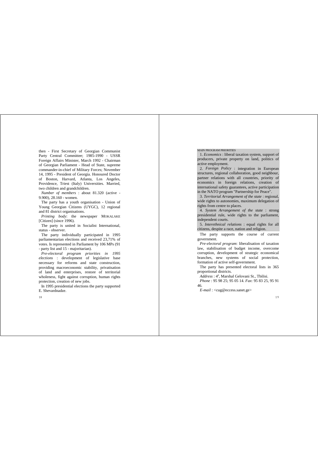then - First Secretary of Georgian Communist Party Central Committee; 1985-1990 - USSR Foreign Affairs Minister, March 1992 - Chairman of Georgian Parliament - Head of State, supreme commander-in-chief of Military Forces; November 14, 1995 - President of Georgia. Honoured Doctor of Boston, Harvard, Atlanta, Los Angeles, Providence, Triest (Italy) Universities. Married, two children and grandchildren.

*Number of members* : about 81.320 (active - 9.900), 28.160 - women.

The party has a youth organisation - Union of Young Georgian Citizens (UYGC), 12 regional and 81 district organisations.

*Printing body*: the newspaper MOKALAKE [Citizen] (since 1996).

The party is united in Socialist International, status - observer.

The party individually participated in 1995 parliamentarian elections and received 23,71% of votes. Is represented in Parliament by 106 MPs (91 - party list and 15 - majoritarian).

*Pre-electoral program priorities in 1995 elections* : development of legislative base necessary for reforms and state construction, providing macroeconomic stability, privatisation of land and enterprises, restore of territorial wholeness, fight against corruption, human rights protection, creation of new jobs.

In 1995 presidential elections the party supported E. Shevardnadze.

 $18$ 

#### MAIN PROGRAM PRIORITIES

1. *Economics* : liberal taxation system, support of producers, private property on land, politics of active employment.

2. *Foreign Policy* : integration in European structures, regional collaboration, good neighbour, partner relations with all countries, priority of economics in foreign relations, creation of international safety guarantees, active participation in the NATO program "Partnership for Peace".

3. *Territorial Arrangement of the state* : regional, wide rights to autonomies, maximum delegation of rights from centre to places.

4. *System Arrangement of the state* : strong presidential rule, wide rights to the parliament, independent courts.

5. *Interethnical relations* : equal rights for all citizens, despite a race, nation and religion.

The party supports the course of current government.

*Pre-electoral program*: liberalisation of taxation law, stabilisation of budget income, overcome corruption, development of strategic economical branches, new systems of social protection, formation of active self-government.

The party has presented electoral lists in 365 proportional districts.

Address : 4<sup>a</sup>, Marshal Gelovani St., Tbilisi.

*Phone* : 95 98 25; 95 05 14. *Fax*: 95 83 25, 95 91 46.

*E-mail* : <cug@eccess.sanet.ge>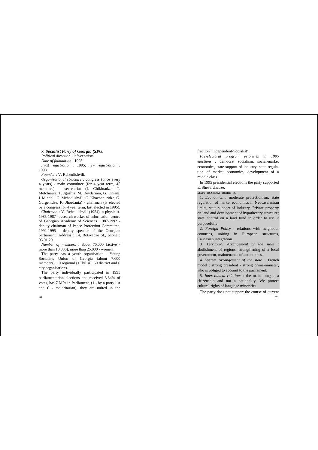# *7. Socialist Party of Georgia (SPG)*

*Political direction* : left-centrists. *Date of foundation* : 1995. *First registration* : 1995; *new registration* : 1998.

*Founder* : V. Rcheulishvili.

*Organisational structure* : congress (once every 4 years) - main committee (for 4 year term, 45 members) - secretariat (I. Chikhradze, T. Metchiauri, T. Jeushia, M. Devdariani, G. Oniani, I. Mindeli, G. Mchedlishvili, G. Khachapuridze, G. Gurgenidze, K. Jhordania) - chairman (is elected by a congress for 4 year term, last elected in 1995). *Chairman* : V. Rcheulishvili (1954), a physicist. 1985-1987 - research worker of information centre of Georgian Academy of Sciences. 1987-1992 deputy chairman of Peace Protection Committee. 1992-1995 - deputy speaker of the Georgian parliament. Address : 14, Botsvadze St., phone : 93 91 29.

*Number of members* : about 70.000 (active more than 10.000), more than 25.000 - women.

The party has a youth organisation - Young Socialists Union of Georgia (about 7.000 members), 10 regional (+Tbilisi), 59 district and 6 city organisations.

The party individually participated in 1995 parliamentarian elections and received 3,84% of votes, has 7 MPs in Parliament, (1 - by a party list and 6 - majoritarian), they are united in the fraction "Independent-Socialist".

*Pre-electoral program priorities in 1995 elections* : democrat socialism, social-market economics, state support of industry, state regulation of market economics, development of a middle class.

In 1995 presidential elections the party supported E. Shevardnadze.

MAIN PROGRAM PRIORITIES

1. *Economics* : moderate protectionism, state regulation of market economics in Neocaseianism limits, state support of industry. Private property on land and development of hypothecary structure; state control on a land fund in order to use it purposefully.

2. *Foreign Policy* : relations with neighbour countries, uniting in European structures, Caucasian integration.

3. *Territorial Arrangement of the state* : abolishment of regions, strengthening of a local government, maintenance of autonomies.

4. *System Arrangement of the state* : French model : strong president - strong prime-minister, who is obliged to account to the parliament.

5. *Interethnical relations* : the main thing is a citizenship and not a nationality. We protect cultural rights of language minorities.

21 The party does not support the course of current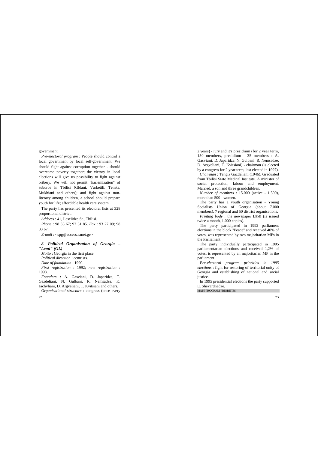government.

 $\mathfrak{D}$ 

*Pre-electoral program* : People should control a local government by local self-government. We should fight against corruption together - should overcome poverty together; the victory in local elections will give us possibility to fight against bribery. We will not permit "harlemization" of suburbs in Tbilisi (Gldani, Varketili, Temka, Mukhiani and others); and fight against nonliteracy among children, a school should prepare youth for life; affordable health care system.

The party has presented its electoral lists at 328 proportional district.

*Address* : 41, Leselidze St., Tbilisi. *Phone* : 98 33 67; 92 31 85. *Fax* : 93 27 09; 98 33 67.

*E-mail* : <spg@access.sanet.ge>

## *8. Political Organisation of Georgia – "Lemi" (GL)*

*Motto* : Georgia in the first place. *Political direction* : centrists. *Date of foundation* : 1990. *First registration* : 1992; *new registration* : 1998.

*Founders* : A. Gasviani, D. Japaridze, T. Gazdeliani, N. Gulbani, R. Nemsadze, K. Jachvliani, D. Argveliani, T. Kvitsiani and others. *Organisational structure* : congress (once every 2 years) - jury and it's presidium (for 2 year term, 150 members, presidium - 35 members : A. Gasviani, D. Japaridze, N. Gulbani, R. Nemsadze, D. Argveliani, T. Kvitsiani) - chairman (is elected by a congress for 2 year term, last elected in 1997).

*Chairman* : Tengiz Gazdeliani (1946), Graduated from Tbilisi State Medical Institute. A minister of social protection, labour and employment. Married, a son and three grandchildren.

*Number of members* : 15.000 (active - 1.500), more than 500 - women.

The party has a youth organisation - Young Socialists Union of Georgia (about 7.000 members), 7 regional and 50 district organisations. *Printing body* : the newspaper LEMI (is issued twice a month, 1.000 copies).

The party participated in 1992 parliament elections in the block "Peace" and received 40% of votes, was represented by two majoritarian MPs in the Parliament.

The party individually participated in 1995 parliamentarian elections and received 1,2% of votes, is represented by an majoritarian MP in the parliament.

*Pre-electoral program priorities in 1995 elections* : fight for restoring of territorial unity of Georgia and establishing of national and social justice.

In 1995 presidential elections the party supported E. Shevardnadze.

MAIN PROGRAM PRIORITIES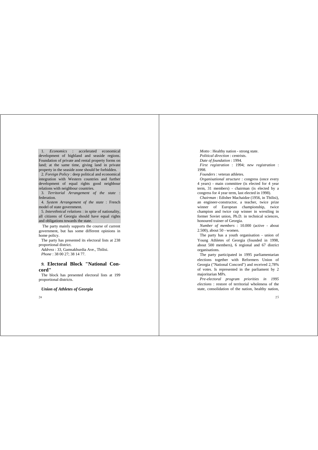1. *Economics* : accelerated economical development of highland and seaside regions. Foundation of private and rental property forms on land; at the same time, giving land in private property in the seaside zone should be forbidden.

2. *Foreign Policy* : deep political and economical integration with Western countries and further development of equal rights good neighbour relations with neighbour countries.

3. *Territorial Arrangement of the state* : federation.

4. *System Arrangement of the state* : French model of state government.

5. *Interethnical relations* : in spite of nationality, all citizens of Georgia should have equal rights and obligations towards the state.

 The party mainly supports the course of current government, but has some different opinions in home policy.

The party has presented its electoral lists at 238 proportional district.

*Address* : 33, Gamsakhurdia Ave., Tbilisi. *Phone* : 38 00 27; 38 14 77.

# *9.* **Electoral Block "National Concord"**

The block has presented electoral lists at 199 proportional districts.

# *Union of Athletes of Georgia*

 $24$ 

*Motto* : Healthy nation - strong state. *Political direction* : centrists. *Date of foundation* : 1994. *First registration* : 1994; *new registration* : 1998.

*Founders* : veteran athletes.

*Organisational structure* : congress (once every 4 years) - main committee (is elected for 4 year term, 31 members) - chairman (is elected by a congress for 4 year term, last elected in 1998).

*Chairman* : Edisher Machaidze (1956, in Tbilisi), an engineer-constructor, a teacher, twice prize winner of European championship, twice champion and twice cup winner in wrestling in former Soviet union, Ph.D. in technical sciences, honoured trainer of Georgia.

*Number of members* : 10.000 (active - about 2.500), about 50 - women.

The party has a youth organisation - union of Young Athletes of Georgia (founded in 1998, about 500 members), 6 regional and 67 district organisations.

The party participated in 1995 parliamentarian elections together with Reformers Union of Georgia ("National Concord") and received 2,78% of votes. Is represented in the parliament by 2 majoritarian MPs.

*Pre-electoral program priorities in 1995 elections* : restore of territorial wholeness of the state, consolidation of the nation, healthy nation,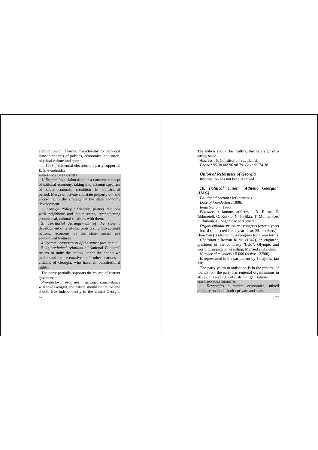elaboration of reforms characteristic to democrat state in spheres of politics, economics, education, physical culture and sports.

In 1995 presidential elections the party supported E. Shevardnadze.

MAIN PROGRAM PRIORITIES

1. *Economics* : elaboration of a concrete concept of national economy, taking into account specifics of social-economic condition in transitional period. Merge of private and state property on land according to the strategy of the state economy development.

2. *Foreign Policy* : friendly, partner relations with neighbour and other states, strengthening economical, cultural relations with them.

3. *Territorial Arrangement of the state* : development of territorial units taking into account national economy of the state, social end economical features.

4. *System Arrangement of the state* : presidential. 5. *Interethnical relations* : "National Concord" means to unite the nation, under the nation we understand representatives of other nations citizens of Georgia, who have all constitutional rights.

The party partially supports the course of current government.

26 *Pre-electoral program* : national concordance will save Georgia, the nation should be united and should live independently in the united Georgia. The nation should be healthy, this is a sign of a strong state.

*Address* : 6, Constitution St., Tbilisi. *Phone* : 95 30 06; 96 98 79. *Fax* : 95 74 38.

*Union of Reformers of Georgia* Information has not been received.

*10. Political Union "Athletic Georgia" (UAG)*

*Political direction* : left-centrists. *Date of foundation* : 1998. *Registration* : 1998. *Founders* : famous athletes : R. Rurua, Z. Akhmeteli, O. Korkia, N. Jorjikia, T. Mdinaradze, S. Barkaia, G. Sagaradze and others.

*Organisational structure* : congress (once a year) - board (is elected for 1 year term, 25 members) chairman (is elected by a congress for a year term).

*Chairman* : Roman Rurua (1942), an engineer, president of the company "Lelo", Olympic and world champion in wrestling, Married and a child. *Number of members* : 5.000 (active - 2.500).

Is represented in the parliament by 1 majoritarian MP.

The party youth organisation is in the process of foundation, the party has regional organisations in all regions and 70% of district organisations.

MAIN PROGRAM PRIORITIES

1. *Economics* : market economics, mixed property on land - both : private and state.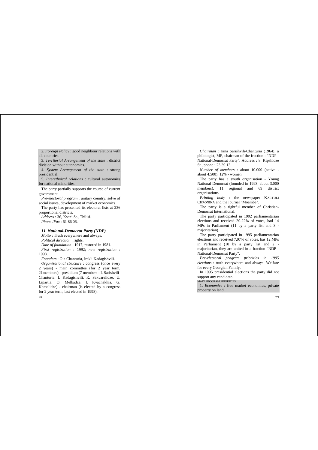2. *Foreign Policy* : good neighbour relations with all countries.

3. *Territorial Arrangement of the state* : district division without autonomies.

4. *System Arrangement of the state* : strong presidential.

5. *Interethnical relations* : cultural autonomies for national minorities.

The party partially supports the course of current government.

*Pre-electoral program* : unitary country, solve of social issues, development of market economics.

The party has presented its electoral lists at 236 proportional districts.

*Address* : 36, Ksani St., Tbilisi. *Phone* /*Fax* : 61 86 06.

#### *11. National-Democrat Party (NDP)*

*Motto* : Truth everywhere and always. *Political direction* : rights. *Date of foundation* : 1917, restored in 1981. *First registration* : 1992; *new registration* : 1998.

*Founders* : Gia Chanturia, Irakli Kadagishvili. *Organisational structure* : congress (once every 2 years) - main committee (for 2 year term, 21members) - presidium (7 members : I. Sarishvili-Chanturia, I. Kadagishvili, R. Sakvarelidze, U. Lipartia, O. Melkadze, I. Kvachakhia, G. Khmelidze) - chairman (is elected by a congress for 2 year term, last elected in 1998).

28

*Chairman* : Irina Sarishvili-Chanturia (1964), a philologist, MP, chairman of the fraction : "NDP - National-Democrat Party". Address : 8, Kipshidze St., phone : 23 39 13.

*Number of members* : about 10.000 (active about  $4.500$ ),  $12%$  - women.

The party has a youth organisation - Young National Democrat (founded in 1993, about 3.000 members), 11 regional and 69 district organisations.

*Printing body* : the newspaper KARTULI CHRONIKA and the journal "Moambe".

The party is a rightful member of Christian-Democrat International.

The party participated in 1992 parliamentarian elections and received 20-22% of votes, had 14 MPs in Parliament (11 by a party list and 3 majoritarian).

The party participated in 1995 parliamentarian elections and received 7,97% of votes, has 12 MPs in Parliament (10 by a party list and 2 majoritarian, they are united in a fraction "NDP - National-Democrat Party".

*Pre-electoral program priorities in 1995 elections* : truth everywhere and always. Welfare for every Georgian Family.

In 1995 presidential elections the party did not support any candidate.

#### MAIN PROGRAM PRIORITIES

1. *Economics* : free market economics, private property on land.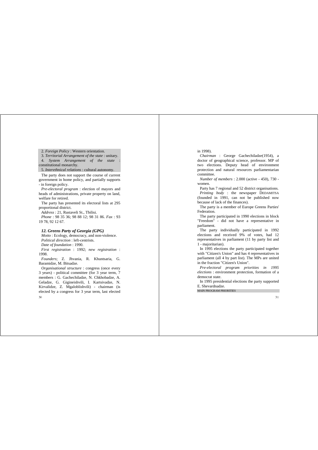2. *Foreign Policy* : Western orientation.

3. *Territorial Arrangement of the state* : unitary. 4. *System Arrangement of the state* : constitutional monarchy.

5. *Interethnical relations* : cultural autonomy.

The party does not support the course of current government in home policy, and partially supports - in foreign policy.

*Pre-electoral program* : election of mayors and heads of administrations, private property on land, welfare for retired.

The party has presented its electoral lists at 295 proportional district.

*Address* : 21, Rustaveli St., Tbilisi. *Phone* : 98 35 36; 98 88 12; 98 31 86. *Fax* : 93 19 78, 92 12 67.

#### *12. Greens Party of Georgia (GPG)*

*Motto* : Ecology, democracy, and non-violence. *Political direction* : left-centrists.

*Date of foundation* : 1990. *First registration* : 1992; *new registration* : 1998.

*Founders*; Z. Jhvania, R. Khuntsaria, G. Baramidze, M. Bitsadze.

 $30<sub>1</sub>$ *Organisational structure* : congress (once every 3 years) - political committee (for 3 year term, 7 members : G. Gachechiladze, N. Chkhobadze, A. Geladze, G. Gigineishvili, I. Kartsivadze, N. Kirvalidze, Z. Mgaloblishvili) - chairman (is elected by a congress for 3 year term, last elected

#### in 1998).

*Chairman* : George Gachechiladze(1954), a doctor of geographical science, professor. MP of two elections. Deputy head of environment protection and natural resources parliamentarian committee.

*Number of members* : 2.000 (active - 450), 730 women.

Party has 7 regional and 52 district organisations. *Printing body* : the newspaper DEDAMITSA (founded in 1991, can not be published now because of lack of the finances).

The party is a member of Europe Greens Parties' Federation.

The party participated in 1990 elections in block "Freedom" - did not have a representative in parliament.

The party individually participated in 1992 elections and received 9% of votes, had 12 representatives in parliament (11 by party list and 1 - majoritarian).

In 1995 elections the party participated together with "Citizen's Union" and has 4 representatives in parliament (all 4 by part list). The MPs are united in the fraction "Citizen's Union".

*Pre-electoral program priorities in 1995 elections* : environment protection, formation of a democrat state.

In 1995 presidential elections the party supported E. Shevardnadze.

MAIN PROGRAM PRIORITIES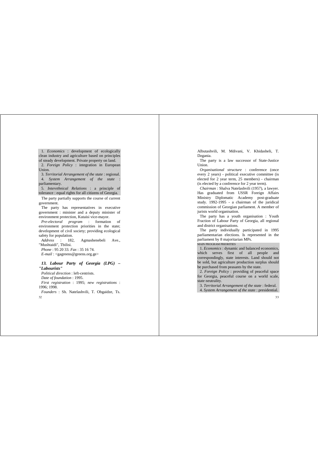1. *Economics* : development of ecologically clean industry and agriculture based on principles of steady development. Private property on land. 2. *Foreign Policy* : integration in European Union.

3. *Territorial Arrangement of the state* : regional. 4. *System Arrangement of the state* : parliamentary.

5. *Interethnical Relations* : a principle of tolerance : equal rights for all citizens of Georgia.

The party partially supports the course of current government.

The party has representatives in executive government : minister and a deputy minister of environment protection, Kutaisi vice-mayor.

*Pre-electoral program* : formation of environment protection priorities in the state; development of civil society; providing ecological safety for population.

*Address* : 182, Agmashenebeli Ave., "Mushtaidi", Tbilisi. *Phone* : 95 20 33. *Fax* : 35 16 74.

*E-mail* : <gagreens@greens.org.ge>

# *13. Labour Party of Georgia (LPG) – "Labourists"*

*Political direction* : left-centrists. *Date of foundation* : 1995. *First registration* : 1995; *new registrations* : 1996; 1998. *Founders* : Sh. Natelashvili, T. Obgaidze, Ts.

32

Albutashvili, M. Mdivani, V. Khidasheli, T. Dzeania.

The party is a law successor of State-Justice Union.

*Organisational structure* : conference (once every 2 years) - political executive committee (is elected for 2 year term, 25 members) - chairman (is elected by a conference for 2 year term).

*Chairman* : Shalva Natelashvili (1957), a lawyer. Has graduated from USSR Foreign Affairs Ministry Diplomatic Academy post-graduate study. 1992-1995 - a chairman of the juridical commission of Georgian parliament. A member of jurists world organisation.

The party has a youth organisation : Youth Fraction of Labour Party of Georgia, all regional and district organisations.

The party individually participated in 1995 parliamentarian elections. Is represented in the parliament by 8 majoritarian MPs.

MAIN PROGRAM PRIORITIES

1. *Economics* : dynamic and balanced economics, which serves first of all people and correspondingly, state interests. Land should not be sold, but agriculture production surplus should be purchased from peasants by the state.

2. *Foreign Policy* : providing of peaceful space for Georgia, peaceful course on a world scale, state neutrality.

3. *Territorial Arrangement of the state* : federal.

4. *System Arrangement of the state* : presidential.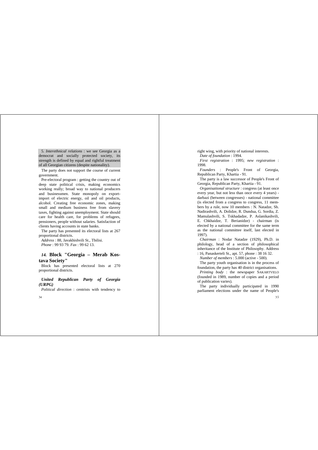5. *Interethnical relations* : we see Georgia as a democrat and socially protected society, its strength is defined by equal and rightful treatment of all Georgian citizens (despite nationality).

The party does not support the course of current government.

Pre-electoral program : getting the country out of deep state political crisis, making economics working really; broad way to national producers and businessmen. State monopoly on exportimport of electric energy, oil and oil products, alcohol. Creating free economic zones, making small and medium business free from slavery taxes, fighting against unemployment. State should care for health care, for problems of refugees, pensioners, people without salaries. Satisfaction of clients having accounts in state banks.

The party has presented its electoral lists at 267 proportional districts.

*Address* : 88, Javakhishvili St., Tbilisi. *Phone* : 99 93 79. *Fax* : 99 62 13.

# *14.* **Block "Georgia – Merab Kostava Society"**

Block has presented electoral lists at 270 proportional districts.

# *United Republican Party of Georgia (URPG)*

*Political direction* : centrists with tendency to

 $34$ 

right wing, with priority of national interests. *Date of foundation* : 1994.

*First registration* : 1995; *new registration* : 1998.

*Founders* : People's Front of Georgia, Republican Party, Khartia - 91.

The party is a law successor of People's Front of Georgia, Republican Party, Khartia - 91.

*Organisational structure* : congress (at least once every year, but not less than once every 4 years) darbazi (between congresses) - national committee (is elected from a congress to congress, 11 members by a rule, now 10 members : N. Natadze, Sh. Nadirashvili, A. Dolidze, R. Dundua, G. Sordia, Z. Mamulashvili, S. Tskhadadze, P. Aslanikashvili, E. Chkhaidze, T. Berianidze) - chairman (is elected by a national committee for the same term as the national committee itself, last elected in 1997).

*Chairman* : Nodar Natadze (1929), Ph.D. in philology, head of a section of philosophical inheritance of the Institute of Philosophy. Address

: 16, Panaskerteli St., apt. 57, phone : 38 16 32. *Number of members* : 5.000 (active - 500).

The party youth organisation is in the process of foundation, the party has 40 district organisations.

*Printing body* : the newspaper SAKARTVELO (founded in 1989, number of copies and a period of publication varies).

The party individually participated in 1990 parliament elections under the name of People's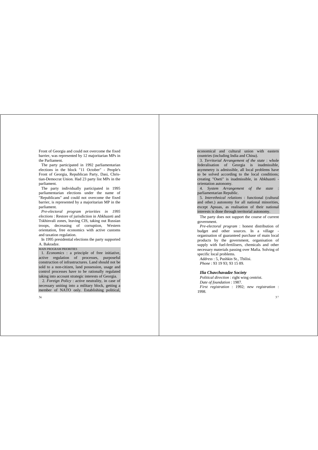Front of Georgia and could not overcome the fixed barrier, was represented by 12 majoritarian MPs in the Parliament.

The party participated in 1992 parliamentarian elections in the block "11 October" - People's Front of Georgia, Republican Party, Dasi, Christian-Democrat Union. Had 23 party list MPs in the parliament.

The party individually participated in 1995 parliamentarian elections under the name of "Republicans" and could not overcome the fixed barrier, is represented by a majoritarian MP in the parliament.

*Pre-electoral program priorities in 1995 elections* : Restore of jurisdiction in Abkhazeti and Tskhinvali zones, leaving CIS, taking out Russian troops, decreasing of corruption, Western orientation, free economics with active customs and taxation regulation.

In 1995 presidential elections the party supported A. Bakradze.

#### MAIN PROGRAM PRIORITIES

1. *Economics* : a principle of free initiative, active regulation of processes, purposeful construction of infrastructures. Land should not be sold to a non-citizen, land possession, usage and control processes have to be rationally regulated taking into account strategic interests of Georgia.

 2. *Foreign Policy* : active neutrality, in case of necessary uniting into a military block, getting a member of NATO only. Establishing political, economical and cultural union with eastern countries (including India and China).

3. *Territorial Arrangement of the state* : whole federalisation of Georgia is inadmissible asymmetry is admissible, all local problems have to be solved according to the local conditions; creating "Oseti" is inadmissible, in Abkhazeti orientation autonomy.

4. *System Arrangement of the state* : parliamentarian Republic.

5. *Interethnical relations* : functional (cultural and other.) autonomy for all national minorities, except Apsuas, as realisation of their national interests is done through territorial autonomy.

The party does not support the course of current government.

*Pre-electoral program* : honest distribution of budget and other sources. In a village organisation of guaranteed purchase of main local products by the government, organisation of supply with fuel-fertilisers, chemicals and other necessary materials passing over Mafia. Solving of specific local problems.

*Address* : 5, Pushkin St., Tbilisi. *Phone* : 93 19 93; 93 15 89.

#### *Ilia Chavchavadze Society*

*Political direction* : right wing centrist. *Date of foundation* : 1987. *First registration* : 1992; *new registration* : 1998.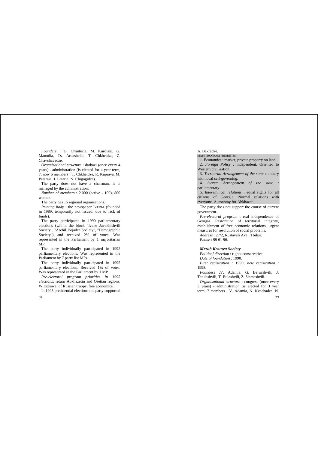*Founders* : G. Chanturia, M. Kurdiani, G. Mamulia, Ts. Ardashelia, T. Chkheidze, Z. Chavchavadze.

*Organisational structure* : darbazi (once every 4 years) - administration (is elected for 4 year term, 7, now 6 members : T. Chkheidze, R. Kuprava, M. Pataraia, J. Lataria, N. Chigogidze).

The party does not have a chairman, it is managed by the administration.

*Number of members* : 2.000 (active - 100), 800 women.

The party has 15 regional organisations.

*Printing body* : the newspaper IVERIA (founded in 1989, temporarily not issued, due to lack of funds).

The party participated in 1990 parliamentary elections (within the block "Ivane Javakhishvili Society", "Archil Jorjadze Society", "Demographic Society") and received 2% of votes. Was represented in the Parliament by 1 majoritarian MP.

The party individually participated in 1992 parliamentary elections. Was represented in the Parliament by 7 party list MPs.

The party individually participated in 1995 parliamentary elections. Received 1% of votes. Was represented in the Parliament by 1 MP.

*Pre-electoral program priorities in 1995 elections*: return Abkhazetin and Osetian regions. Withdrawal of Russian troops; free economics.

In 1995 presidential elections the party supported

38

A. Bakradze.

MAIN PROGRAM PRIORITIES

1. *Economics* : market, private property on land.

2. *Foreign Policy* : independent. Oriented to Western civilisation.

3. *Territorial Arrangement of the state* : unitary with local self-governing.

4. *System Arrangement of the state* : parliamentary.

5. *Interethnical relations* : equal rights for all citizens of Georgia. Normal relations with everyone. Autonomy for Abkhazeti.

The party does not support the course of current government.

*Pre-electoral program* : real independence of Georgia. Restoration of territorial integrity, establishment of free economic relations, urgent measures for resolution of social problems. *Address* : 27/2, Rustaveli Ave., Tbilisi.

*Phone* : 99 61 96.

#### *Merab Kostava Society*

*Political direction* : rights-conservative. *Date of foundation* : 1990. *First registration* : 1990; *new registration* : 1998.

*Founders* :V. Adamia, G. Beruashvili, J. Tatulashvili, T. Bulashvili, Z. Siamashvili.

*Organisational structure* : congress (once every 3 years) - administration (is elected for 3 year term, 7 members : V. Adamia, N. Kvachadze, N.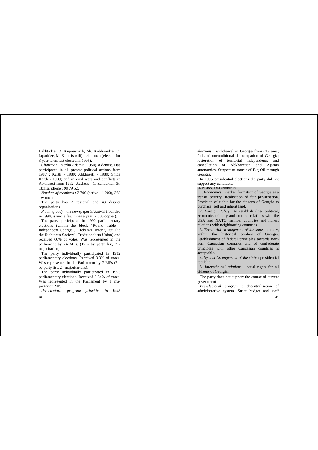Bakhtadze, D. Kupreishvili, Sh. Koblianidze, D. Japaridze, M. Khutsishvili) - chairman (elected for 3 year term, last elected in 1995).

*Chairman* : Vazha Adamia (1950), a dentist. Has participated in all protest political actions from 1987 : Kartli - 1989; Abkhazeti - 1989; Shida Kartli - 1989; and in civil wars and conflicts in Abkhazeti from 1992. Address : 1, Zandukleli St. Tbilisi, phone : 99 79 52.

*Number of members* : 2.700 (active - 1.200), 368 - women.

The party has 7 regional and 43 district organisations.

*Printing body* : the newspaper SARANGI (founded in 1990, issued a few times a year, 2.000 copies).

The party participated in 1990 parliamentary elections (within the block "Round Table - Independent Georgia", "Helsinki Union", "St. Ilia the Righteous Society", Traditionalists Union) and received 66% of votes. Was represented in the parliament by 24 MPs. (17 - by party list, 7 majoritarian).

The party individually participated in 1992 parliamentary elections. Received 3,3% of votes. Was represented in the Parliament by 7 MPs (5 by party list, 2 - majoritarians).

The party individually participated in 1995 parliamentary elections. Received 2,34% of votes. Was represented in the Parliament by 1 majoritarian MP.

*Pre-electoral program priorities in 1995*

 $40 -$ 

*elections* : withdrawal of Georgia from CIS area; full and unconditional de-occupation of Georgia; restoration of territorial independence and cancellation of Abkhazetian and Ajarian autonomies. Support of transit of Big Oil through Georgia.

In 1995 presidential elections the party did not support any candidate.

MAIN PROGRAM PRIORITIES

1. *Economics* : market, formation of Georgia as a transit country. Realisation of fair privatisation. Provision of rights for the citizens of Georgia to purchase, sell and inherit land.

2. *Foreign Policy* : to establish close political, economic, military and cultural relations with the USA and NATO member countries and honest relations with neighbouring countries.

3. *Territorial Arrangement of the state* : unitary, within the historical borders of Georgia. Establishment of federal principles towards northern Caucasian countries and of confederate principles with other Caucasian countries is acceptable.

4. *System Arrangement of the state* : presidential republic.

5. *Interethnical relations* : equal rights for all citizens of Georgia.

The party does not support the course of current government.

*Pre-electoral program* : decentralisation of administrative system. Strict budget and staff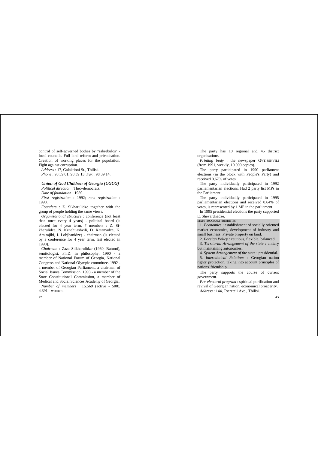control of self-governed bodies by "sakrebulos" local councils. Full land reform and privatisation. Creation of working places for the population. Fight against corruption.

*Address* : 17, Galaktioni St., Tbilisi. *Phone* : 98 39 01; 98 39 13. *Fax* : 98 39 14.

# *Union of God Children of Georgia (UGCG)*

*Political direction* : Theo-democrats. *Date of foundation* : 1989. *First registration* : 1992; *new registration* : 1998.

*Founders* : Z. Sikharulidze together with the group of people holding the same views.

*Organisational structure* : conference (not least than once every 4 years) - political board (is elected for 4 year term, 7 members : Z. Sikharulidze, N. Kenchuashvili, D. Katamadze, K. Amirajibi, I. Lobjhanidze) - chairman (is elected by a conference for 4 year term, last elected in 1998).

*Chairman* : Zaza Silkharulidze (1960, Batumi), semitologist, Ph.D. in philosophy. 1990 - a member of National Forum of Georgia, National Congress and National Olympic committee. 1992 a member of Georgian Parliament, a chairman of Social Issues Commission. 1993 - a member of the State Constitutional Commission, a member of Medical and Social Sciences Academy of Georgia. *Number of members* : 15.569 (active - 500), 4.391 - women.

42

The party has 10 regional and 46 district organisations.

*Printing body* : the newspaper GVTISSHVILI (from 1991, weekly, 10.000 copies).

The party participated in 1990 parliament elections (in the block with People's Party) and received 0,67% of votes.

The party individually participated in 1992 parliamentarian elections. Had 2 party list MPs in the Parliament.

The party individually participated in 1995 parliamentarian elections and received 0,64% of votes, is represented by 1 MP in the parliament.

In 1995 presidential elections the party supported E. Shevardnadze.

MAIN PROGRAM PRIORITIES

1. *Economics* : establishment of socially oriented market economics, development of industry and small business. Private property on land.

2. *Foreign Policy* : cautious, flexible, balanced.

3. *Territorial Arrangement of the state* : unitary but maintaining autonomies.

4. *System Arrangement of the state* : presidential.

5. *Interethnical Relations* : Georgian nation rights' protection, taking into account principles of nations' friendship.

The party supports the course of current government.

*Pre-electoral program* : spiritual purification and revival of Georgian nation, economical prosperity. *Address* : 144, Tsereteli Ave., Tbilisi.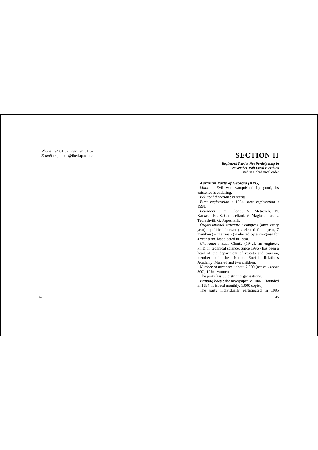*Phone* : 94 01 62. *Fax* : 94 01 62. *E-mail* : <junona@iberiapac.ge>

# **SECTION II**

*Registered Parties Not Participating in November 15th Local Elections* Listed in alphabetical order

# *Agrarian Party of Georgia (APG)*

*Motto* : Evil was vanquished by good, its existence is enduring.

*Political direction* : centrists.

*First registration* : 1994; *new registration* : 1998.

*Founders* : Z. Glonti, V. Metreveli, N. Karkashidze, Z. Charkseliani, V. Maglakelidze, L. Tediashvili, G. Paposhvili.

*Organisational structure* : congress (once every year) - political bureau (is elected for a year, 7 members) - chairman (is elected by a congress for a year term, last elected in 1998).

*Chairman* : Zaur Glonti, (1942), an engineer, Ph.D. in technical science. Since 1996 - has been a head of the department of resorts and tourism, member of the National-Social Relations Academy. Married and two children.

*Number of members* : about 2.000 (active - about 300), 10% - women.

The party has 30 district organisations.

*Printing body* : the newspaper MEURNE (founded in 1994, is issued monthly, 1.000 copies).

The party individually participated in 1995

 $45$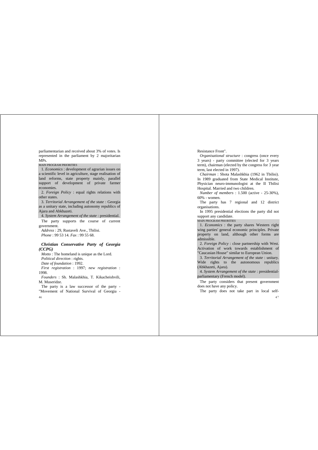parliamentarian and received about 3% of votes. Is represented in the parliament by 2 majoritarian MPs.

MAIN PROGRAM PRIORITIES

1. *Economics* : development of agrarian issues on a scientific level in agriculture, stage realisation of land reforms, state property mainly, parallel support of development of private farmer economies.

2. *Foreign Policy* : equal rights relations with other states.

3. *Territorial Arrangement of the state* : Georgia as a unitary state, including autonomy republics of Ajara and Abkhazeti.

4. *System Arrangement of the state* : presidential.

The party supports the course of current government.

*Address* : 29, Rustaveli Ave., Tbilisi. *Phone* : 99 53 14. *Fax* : 99 55 68.

#### *Christian Conservative Party of Georgia (CCPG)*

*Motto* : The homeland is unique as the Lord. *Political direction* : rights. *Date of foundation* : 1992. *First registration* : 1997; *new registration* : 1998.

*Founders* : Sh. Malashkhia, T. Kikacheishvili, M. Museridze.

The party is a law successor of the party - "Movement of National Survival of Georgia -

46

Resistance Front".

*Organisational structure* : congress (once every 3 years) - party committee (elected for 3 years term), chairman (elected by the congress for 3 year term, last elected in 1997).

*Chairman* : Shota Malashkhia (1962 in Tbilisi). In 1989 graduated from State Medical Institute, Physician neuro-immunologist at the II Tbilisi Hospital. Married and two children.

*Number of members* : 1.500 (active - 25-30%), 60% - women.

The party has 7 regional and 12 district organisations.

In 1995 presidential elections the party did not support any candidate.

MAIN PROGRAM PRIORITIES

1. *Economics* : the party shares Western right wing parties' general economic principles. Private property on land, although other forms are admissible.

2. *Foreign Policy* : close partnership with West. Activation of work towards establishment of "Caucasian House" similar to European Union.

3. *Territorial Arrangement of the state* : unitary. Wide rights to the autonomous republics (Abkhazeti, Ajara).

4. *System Arrangement of the state* : presidentialparliamentary (French model).

The party considers that present government does not have any policy.

The party does not take part in local self-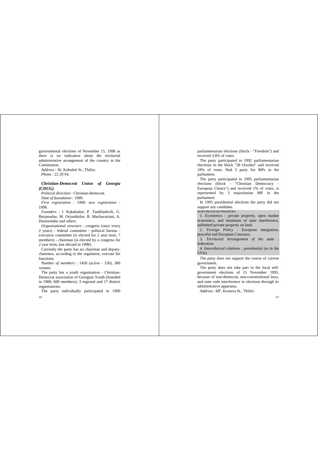governmental elections of November 15, 1998 as there is no indication about the territorial administrative arrangement of the country in the Constitution.

*Address* : 36, Kobuleti St., Tbilisi. *Phone* : 22 20 94.

# *Christian-Democrat Union of Georgia (CDUG)*

*Political direction* : Christian-democrat.

*Date of foundation* : 1989.

*First registration* : 1990; *new registration* : 1998.

*Founders* : I. Kakabadze, P. Tandilashvili, G. Burjanadze, M. Orjonikidze, B. Machavariani, A. Dzotsenidze and others.

*Organisational structure* : congress (once every 2 years) - federal committee - political bureau executive committee (is elected for 2 year term, 7 members) - chairman (is elected by a congress for 2 year term, last elected in 1998).

Currently the party has no chairman and deputychairmen, according to the regulation, execute his functions.

*Number of members* : 1450 (active - 150), 300 women.

The party has a youth organisation - Christian-Democrat association of Georgian Youth (founded in 1988, 600 members); 3 regional and 17 district organisations.

48 The party individually participated in 1990 parliamentarian elections (block - "Freedom") and received 3,8% of votes.

The party participated in 1992 parliamentarian elections in the block "28 October" and received 18% of votes. Had 3 party list MPs in the parliament.

The party participated in 1995 parliamentarian elections (block - "Christian Democracy - European Choice") and received 1% of votes, is represented by 3 majoritarian MP in the parliament.

In 1995 presidential elections the party did not support any candidate.

#### MAIN PROGRAM PRIORITIES

1. *Economics* : private property, open market economics, and minimum of state interference, unlimited private property on land.

2. *Foreign Policy* : European integration, peaceful and European Caucasus.

3. *Territorial Arrangement of the state* : federation.

4. *Interethnical relations* : presidential (as in the USA).

The party does not support the course of current government.

The party does not take part in the local selfgovernment elections of 15 November 1995, because of non-democrat, non-constitutional laws, and state rude interference in elections through its administrative apparatus.

Address: 68<sup>a</sup>, Kostava St., Tbilisi.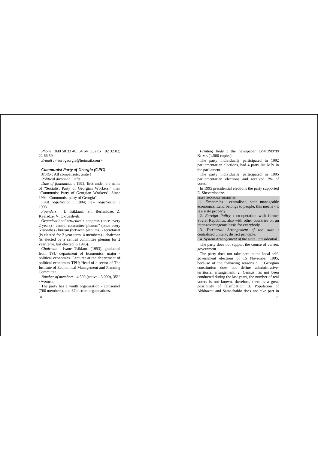*Phone* : 899 50 33 46; 64 64 11. *Fax* : 92 32 82; 22 66 59. *E-mail* : <eurogeorgia@hotmail.com>

#### *Communist Party of Georgia (CPG)*

*Motto* : All compatriots, unite ! *Political direction* : lefts. *Date of foundation* : 1992, first under the name of "Socialist Party of Georgian Workers," then "Communist Party of Georgian Workers". Since

1994 "Communist party of Georgia".

*First registration* : 1994; *new registration* : 1998.

*Founders* : I. Tsiklauri, Sh. Berianidze, Z. Kveladze, V. Okruashvili.

*Organisational structure* : congress (once every 2 years) - central committee"plenum" (once every 6 months) - bureau (between plenums) - secretariat (is elected for 2 year term, 4 members) - chairman (is elected by a central committee plenum for 2 year term, last elected in 1996).

*Chairman* : Ivane Tsiklauri (1953), graduated from TSU department of Economics, major political economics. Lecturer at the department of political economics TPU; Head of a sector of The Institute of Economical Management and Planning Committee.

*Number of members* : 4.500 (active - 3.000), 35% - women.

The party has a youth organisation - comsomol (700 members), and 67 district organisations.

-50.

*Printing body* : the newspaper COMUNISTIS KHMA (1.500 copies).

The party individually participated in 1992 parliamentarian elections, had 4 party list MPs in the parliament.

The party individually participated in 1995 parliamentarian elections and received 3% of votes.

In 1995 presidential elections the party supported E. Shevardnadze.

MAIN PROGRAM PRIORITIES

1. *Economics* : centralised, state manageable economics. Land belongs to people, this means - it is a state property.

2. *Foreign Policy* : co-operation with former Soviet Republics, also with other countries on an inter-advantageous basis for everybody.

3. *Territorial Arrangement of the state* : centralised unitary, district principle.

4. *System Arrangement of the state* : presidential.

The party does not support the course of current government

The party does not take part in the local selfgovernment elections of 15 November 1995, because of the following reasons : 1. Georgian constitution does not define administrativeterritorial arrangement, 2. Census has not been conducted during the last years, the number of real voters is not known, therefore, there is a great possibility of falsification. 3. Population of Abkhazeti and Samachablo does not take part in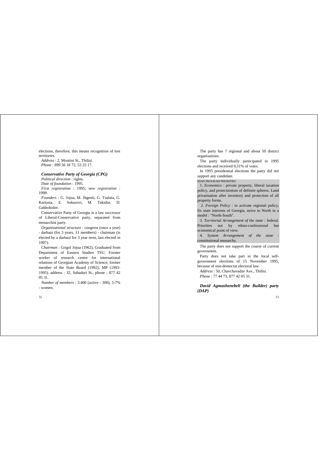elections, therefore, this means recognition of lost territories.

*Address* : 2, Montini St., Tbilisi. *Phone* : 899 56 18 72; 53 25 17.

#### *Conservative Party of Georgia (CPG)*

*Political direction* : rights. *Date of foundation* : 1995. *First registration* : 1995; *new registration* : 1998.

*Founders* : G. Jojua, M. Jhgenti, G. Tsulaia, G. Kartosia, E. Sokurovi, M. Takidze, D. Gakhokidze.

Conservative Party of Georgia is a law successor of Liberal-Conservative party, separated from monarchist party.

*Organisational structure* : congress (once a year) - darbazi (for 3 years, 11 members) - chairman (is elected by a darbazi for 3 year term, last elected in 1997).

*Chairman* : Grigol Jojua (1962), Graduated from Department of Eastern Studies TSU. Former worker of research centre for international relations of Georgian Academy of Science; former member of the State Board (1992); MP (1993- 1995). address : 32, Sabaduri St., phone : 877 42 05 31.

*Number of members* : 3.400 (active - 300), 5-7% - women.

52

The party has 7 regional and about 50 district organisations.

The party individually participated in 1995 elections and received 0,51% of votes.

In 1995 presidential elections the party did not support any candidate.

MAIN PROGRAM PRIORITIES

1. *Economics* : private property, liberal taxation policy, and protectionism of definite spheres. Land privatisation after inventory and protection of all property forms.

 2. *Foreign Policy* : to activate regional policy, fix state interests of Georgia, strive to North in a model : "North-South".

3. *Territorial Arrangement of the state* : federal. Priorities not by ethno-confessional but economical point of view.

4. *System Arrangement of the state* : constitutional monarchy.

The party does not support the course of current government.

Party does not take part in the local selfgovernment elections of 15 November 1995, because of non-democrat electoral law.

*Address* : 50, Chavchavadze Ave., Tbilisi. *Phone* : 77 44 73, 877 42 05 31.

*David Agmashenebeli (the Builder) party (DAP)*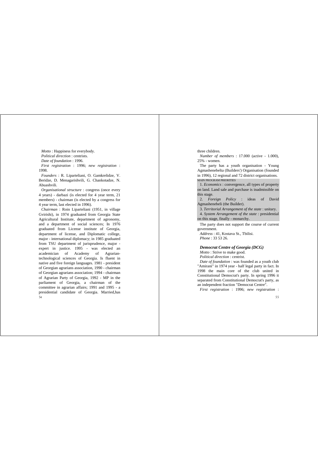*Motto* : Happiness for everybody. *Political direction* : centrists. *Date of foundation* : 1996. *First registration* : 1996; *new registration* : 1998.

*Founders* : R. Liparteliani, O. Gamkrelidze, V. Beridze, D. Menagarishvili, G. Chankotadze, N. Abuashvili.

*Organisational structure* : congress (once every 4 years) - darbazi (is elected for 4 year term, 21 members) - chairman (is elected by a congress for 4 year term, last elected in 1996).

 $54$ *Chairman* : Roin Liparteliani (1951, in village Gvirishi), in 1974 graduated from Georgia State Agricultural Institute, department of agronomy, and a department of social sciences; In 1976 graduated from License institute of Georgia, department of license, and Diplomatic college, major - international diplomacy; in 1985 graduated from TSU department of jurisprudence, major expert in justice. 1995 - was elected an academician of Academy of Agrariantechnological sciences of Georgia. Is fluent in native and five foreign languages. 1981 - president of Georgian agrarians association, 1990 - chairman of Georgian agrarians association; 1994 - chairman of Agrarian Party of Georgia, 1992 - MP in the parliament of Georgia, a chairman of the committee in agrarian affairs; 1991 and 1995 - a presidential candidate of Georgia. Married,has

#### three children.

*Number of members* : 17.000 (active - 1.000), 25% - women.

The party has a youth organisation - Young Agmashenebelta (Builders') Organisation (founded in 1996), 12 regional and 72 district organisations. MAIN PROGRAM PRIORITIES

1. *Economics* : convergence, all types of property on land. Land sale and purchase is inadmissible on this stage.

2. *Foreign Policy* : ideas of David Agmashenebeli (the Builder).

3. *Territorial Arrangement of the state* : unitary.

4. *System Arrangement of the state* : presidential on this stage, finally - monarchy.

The party does not support the course of current government.

*Address* : 41, Kostava St., Tbilisi. *Phone* : 33 53 26.

#### *Democrat Centre of Georgia (DCG) Motto* : Strive to make good.

*Political direction* : centrist.

*Date of foundation* : was founded as a youth club "Amirani" in 1974 year - half legal party in fact. In 1998 the main core of the club united in Constitutional Democrat's party. In spring 1996 it separated from Constitutional Democrat's party, as an independent fraction "Democrat Centre".

*First registration* : 1996; *new registration* :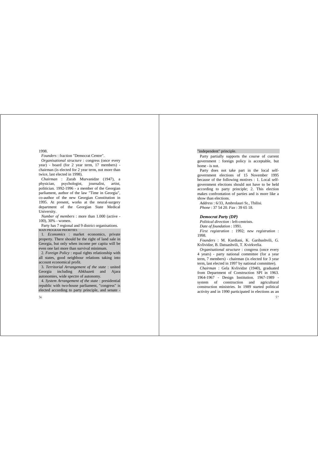1998.

*Founders* : fraction "Democrat Centre".

*Organisational structure* : congress (once every year) - board (for 2 year term, 17 members) chairman (is elected for 2 year term, not more than twice, last elected in 1998).

*Chairman* : Zurab Murvanidze (1947), a physician, psychologist, journalist, artist, politician. 1992-1996 - a member of the Georgian parliament, author of the law "Time in Georgia", co-author of the new Georgian Constitution in 1995. At present, works at the neural-surgery department of the Georgian State Medical University.

*Number of members* : more than 1.000 (active - 100), 30% - women.

Party has 7 regional and 9 district organisations. MAIN PROGRAM PRIORITIES

1. *Economics* : market economics, private property. There should be the right of land sale in Georgia, but only when income per capita will be even one lari more than survival minimum.

2. *Foreign Policy* : equal rights relationship with all states, good neighbour relations taking into account economical profit.

3. *Territorial Arrangement of the state* : united Georgia including Abkhazeti and Ajara autonomies, wide spectre of autonomy.

4. *System Arrangement of the state* : presidential republic with two-house parliament, "congress" is elected according to party principle, and senate -

#### "independent" principle.

Party partially supports the course of current government : foreign policy is acceptable, but home - is not.

Party does not take part in the local selfgovernment elections of 15 November 1995 because of the following motives : 1. Local selfgovernment elections should not have to be held according to party principle; 2. This election makes confrontation of parties and is more like a show than elections.

*Address* : 6/33, Ambrolauri St., Tbilisi. *Phone* : 37 54 20. *Fax* : 39 65 18.

#### *Democrat Party (DP)*

*Political direction* : left-centrists.

*Date of foundation* : 1991.

*First registration* : 1992; *new registration* : 1998.

*Founders* : M. Kurdiani, K. Garibashvili, G. Kvlividze, B. Datuashvili, T. Kvirkvelia.

*Organisational structure* : congress (once every 4 years) - party national committee (for a year term, 7 members) - chairman (is elected for 3 year term, last elected in 1997 by national committee).

*Chairman* : Gela Kvlividze (1940), graduated from Department of Construction SPI in 1963. 1964-1967 - Design Institution. 1967-1989 system of construction and agricultural construction ministries. In 1989 started political activity and in 1990 participated in elections as an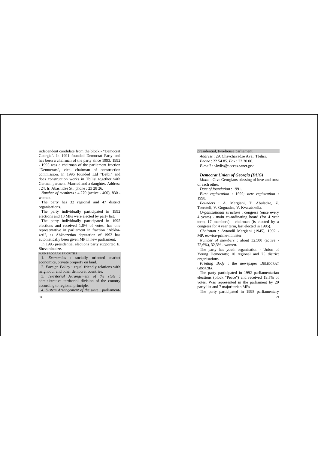independent candidate from the block - "Democrat Georgia". In 1991 founded Democrat Party and has been a chairman of the party since 1993. 1992 - 1995 was a chairman of the parliament fraction "Democrats", vice- chairman of construction commission. In 1996 founded Ltd "Betbi" and does construction works in Tbilisi together with German partners. Married and a daughter. Address

: 24, Ir. Abashidze St., phone : 23 28 26.

*Number of members* : 4.270 (active - 400), 830 women.

The party has 32 regional and 47 district organisations.

The party individually participated in 1992 elections and 10 MPs were elected by party list.

The party individually participated in 1995 elections and received 1,8% of votes, has one representative in parliament in fraction "Abkhazeti", as Abkhazetian deputation of 1992 has automatically been given MP in new parliament.

In 1995 presidential elections party supported E. Shevardnadze.

MAIN PROGRAM PRIORITIES

1. *Economics* : socially oriented market economics, private property on land.

2. *Foreign Policy* : equal friendly relations with neighbour and other democrat countries.

3. *Territorial Arrangement of the state* : administrative territorial division of the country according to regional principle.

4. *System Arrangement of the state* : parliament-

 $58$ 

#### presidential, two-house parliament.

*Address* : 29, Chavchavadze Ave., Tbilisi. *Phone* : 22 54 85. *Fax* : 22 30 06. *E-mail* : <kvliv@access.sanet.ge>

#### *Democrat Union of Georgia (DUG)*

*Motto* : Give Georgians blessing of love and trust of each other.

*Date of foundation* : 1991.

*First registration* : 1992; *new registration* : 1998.

*Founders* : A. Margiani, T. Abuladze, Z. Tsereteli, V. Goguadze, V. Kvaratskelia.

*Organisational structure* : congress (once every 4 years) - main co-ordinating board (for 4 year term, 17 members) - chairman (is elected by a congress for 4 year term, last elected in 1995).

*Chairman* : Avtandil Margiani (1945), 1992 - MP, ex-vice-prime-minister.

*Number of members* : about 32.500 (active - 72,6%), 32,3% - women.

The party has youth organisation - Union of Young Democrats; 10 regional and 75 district organisations.

*Printing Body* : the newspaper DEMOCRAT GEORGIA.

The party participated in 1992 parliamentarian elections (block "Peace") and received 19,5% of votes. Was represented in the parliament by 29 party list and 7 majoritarian MPs

 $50$ The party participated in 1995 parliamentary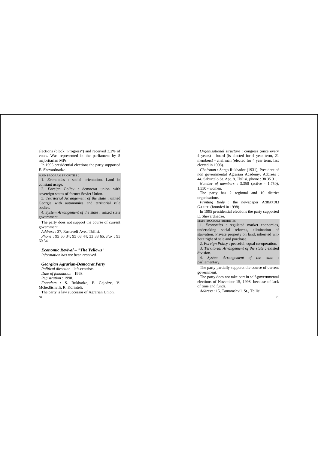elections (block "Progress") and received 3,2% of votes. Was represented in the parliament by 5 majoritarian MPs.

In 1995 presidential elections the party supported E. Shevardnadze.

MAIN PROGRAM PRIORITIES :

1. *Economics* : social orientation. Land in constant usage.

2. *Foreign Policy* : democrat union with sovereign states of former Soviet Union.

3. *Territorial Arrangement of the state* : united Georgia with autonomies and territorial rule bodies.

4. *System Arrangement of the state* : mixed state government.

The party does not support the course of current government.

*Address* : 37, Rustaveli Ave., Tbilisi. *Phone* : 95 60 34; 95 08 44; 33 38 65. *Fax* : 95 60 34.

*Economic Revival – "The Yellows" Information has not been received.*

 $\omega$ *Georgian Agrarian-Democrat Party Political direction* : left-centrists. *Date of foundation* : 1998. *Registration* : 1998. *Founders* : S. Rukhadze, P. Gejadze, V. Mchedlishvili, R. Korinteli. The party is law successor of Agrarian Union.

*Organisational structure* : congress (once every 4 years) - board (is elected for 4 year term, 21 members) - chairman (elected for 4 year term, last elected in 1998).

*Chairman* : Sergo Rukhadze (1931), President of non governmental Agrarian Academy. Address : 44, Saburtalo St. Apt. 8, Tbilisi, phone : 38 35 31.

*Number of members* : 3.350 (active - 1.750), 1.550 - women.

The party has 2 regional and 10 district organisations.

*Printing Body* : the newspaper AGRARULI GAZETI (founded in 1998).

In 1995 presidential elections the party supported E. Shevardnadze.

MAIN PROGRAM PRIORITIES

1. *Economics* : regulated market economics, undertaking social reforms, elimination of starvation. Private property on land, inherited without right of sale and purchase.

2. *Foreign Policy* : peaceful, equal co-operation.

3. *Territorial Arrangement of the state* : existed division.

4. *System Arrangement of the state* : parliamentary.

The party partially supports the course of current government.

The party does not take part in self-governmental elections of November 15, 1998, because of lack of time and funds.

*Address* : 15, Tamarashvili St., Tbilisi.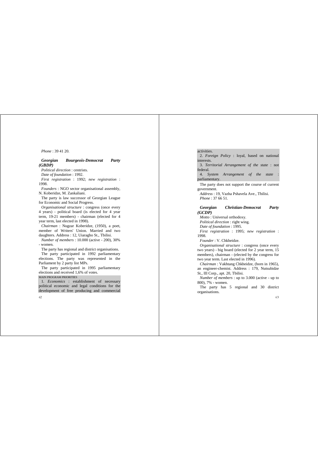*Phone* : 39 41 20.

# *Georgian Bourgeois-Democrat Party (GBDP)*

*Political direction* : centrists. *Date of foundation* : 1992. *First registration* : 1992; *new registration* : 1998. *Founders* : NGO sector organisational assembly,

N. Koberidze, M. Zankaliani.

The party is law successor of Georgian League for Economic and Social Progress.

*Organisational structure* : congress (once every 4 years) - political board (is elected for 4 year term, 19-21 members) - chairman (elected for 4 year term, last elected in 1998).

*Chairman* : Nugzar Koberidze, (1950), a poet, member of Writers' Union. Married and two daughters. Address : 12, Uiaragho St., Tbilisi.

*Number of members* : 10.000 (active - 200), 30% - women.

The party has regional and district organisations.

The party participated in 1992 parliamentary elections. The party was represented in the Parliament by 2 party list MPs.

The party participated in 1995 parliamentary elections and received 1,6% of votes.

#### MAIN PROGRAM PRIORITIES

1. *Economics* : establishment of necessary political economic and legal conditions for the development of free producing and commercial

 $62$ 

#### activities.

2. *Foreign Policy* : loyal, based on national interests.

3. *Territorial Arrangement of the state* : not federal.

4. *System Arrangement of the state* : parliamentary.

The party does not support the course of current government.

*Address* : 19, Vazha Pshavela Ave., Tbilisi. *Phone* : 37 66 51.

# *Georgian Christian-Democrat Party (GCDP)*

*Motto* : Universal orthodoxy.

*Political direction* : right wing.

*Date of foundation* : 1995.

*First registration* : 1995; *new registration* : 1998.

*Founder* : V. Chkheidze.

*Organisational structure* : congress (once every two years) - big board (elected for 2 year term, 15 members), chairman - (elected by the congress for two year term. Last elected in 1996).

*Chairman* : Vakhtang Chkheidze, (born in 1965), an engineer-chemist. Address : 179, Nutsubidze St., III Corp., apt. 20, Tbilisi.

*Number of members* : up to 3.000 (active - up to 800), 7% - women.

The party has 5 regional and 30 district organisations.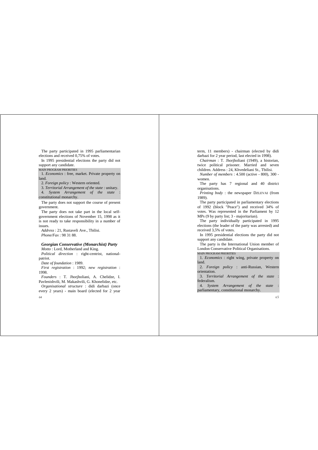The party participated in 1995 parliamentarian elections and received 0,75% of votes.

In 1995 presidential elections the party did not support any candidate.

#### MAIN PROGRAM PRIORITIES

1. *Economics* : free, market. Private property on land.

2. *Foreign policy* : Western oriented.

3. *Territorial Arrangement of the state* : unitary.

4. *System Arrangement of the state* : constitutional monarchy.

The party does not support the course of present government.

The party does not take part in the local selfgovernment elections of November 15, 1998 as it is not ready to take responsibility in a number of issues.

*Address* : 21, Rustaveli Ave., Tbilisi. *Phone/Fax* : 98 31 88.

#### *Georgian Conservative (Monarchist) Party*

*Motto* : Lord, Motherland and King. *Political direction* : right-centrist, nationalpatriot.

*Date of foundation* : 1989.

*First registration* : 1992; *new registration* : 1998.

*Founders* : T. Jhorjholiani, A. Chelidze, I. Pavlenishvili, M. Makashvili, G. Khonelidze, etc.

64 *Organisational structure* : didi darbazi (once every 2 years) - main board (elected for 2 year term, 11 members) - chairman (elected by didi darbazi for 2 year period, last elected in 1998).

*Chairman* : T. Jhorjholiani (1949), a historian, twice political prisoner. Married and seven children. Address : 24, Khvedeliani St., Tbilisi.

*Number of members* : 4.500 (active - 800), 300 women.

The party has 7 regional and 40 district organisations.

*Printing body* : the newspaper DZLEVAI (from 1989).

The party participated in parliamentary elections of 1992 (block "Peace") and received 34% of votes. Was represented in the Parliament by 12 MPs (9 by party list; 3 - majoritarian).

The party individually participated in 1995 elections (the leader of the party was arrested) and received 3,5% of votes.

In 1995 presidential elections the party did not support any candidate.

The party is the International Union member of London Conservative Political Organisations.

MAIN PROGRAM PRIORITIES

1. *Economics* : right wing, private property on land.

2. *Foreign policy* : anti-Russian, Western orientation.

3. *Territorial Arrangement of the state* : federalism.

4. *System Arrangement of the state* : parliamentary, constitutional monarchy.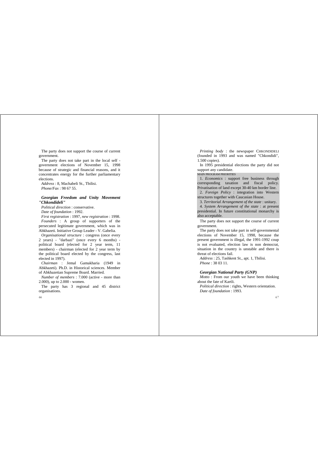The party does not support the course of current government.

The party does not take part in the local self government elections of November 15, 1998 because of strategic and financial reasons, and it concentrates energy for the further parliamentary elections.

*Address* : 8, Machabeli St., Tbilisi. *Phone/Fax* : 98 67 55.

# *Georgian Freedom and Unity Movement "Chkondideli"*

*Political direction* : conservative. *Date of foundation* : 1992.

*First registration* : 1997, *new registration* : 1998. *Founders* : A group of supporters of the persecuted legitimate government, which was in Abkhazeti. Initiative Group Leader - V. Gabelia.

*Organisational structure* : congress (once every 2 years) - "darbazi" (once every 6 months) political board (elected for 2 year term, 11 members) - chairman (elected for 2 year term by the political board elected by the congress, last elected in 1997).

*Chairman* : Jemal Gamakharia (1949 in Abkhazeti). Ph.D. in Historical sciences. Member of Abkhazetian Supreme Board. Married.

*Number of members* : 7.000 (active - more than 2.000), up to 2.000 - women.

The party has 3 regional and 45 district organisations.

-66

*Printing body* : the newspaper CHKONDIDELI (founded in 1993 and was named "Chkondidi", 1.500 copies).

In 1995 presidential elections the party did not support any candidate.

MAIN PROGRAM PRIORITIES

1. *Economics* : support free business through corresponding taxation and fiscal policy. Privatisation of land except 30-40 km border line.

2. *Foreign Policy* : integration into Western structures together with Caucasian House.

3. *Territorial Arrangement of the state* : unitary.

4. *System Arrangement of the state* : at present presidential. In future constitutional monarchy is also acceptable.

The party does not support the course of current government.

The party does not take part in self-governmental elections of November 15, 1998, because the present government is illegal, the 1991-1992 coup is not evaluated, election law is non democrat, situation in the country is unstable and there is threat of elections fail.

*Address* : 25, Tashkent St., apt. 1, Tbilisi. *Phone* : 38 03 11.

#### *Georgian National Party (GNP)*

*Motto* : From our youth we have been thinking about the fate of Kartli.

*Political direction* : rights, Western orientation. *Date of foundation* : 1993.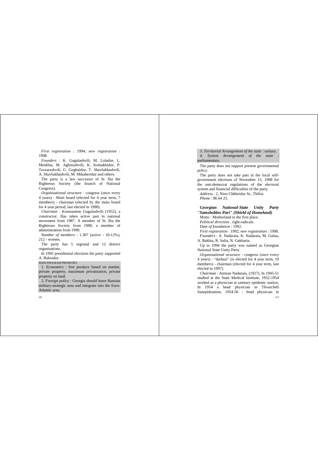*First registration* : 1994; *new registration* : 1998.

*Founders* : K. Gugulashvili, M. Loladze, L. Meskhia, M. Aghniashvili, K. Komakhidze, P. Tavzarashvili, G. Gogbaidze, T. Shavlukhashvili, A. Shavlukhashvili, M. Mikaberidze and others.

The party is a law successor of St. Ilia the Righteous Society (the branch of National Congress).

*Organisational structure* : congress (once every 4 years) - Main board (elected for 4 year term, 7 members) - chairman (elected by the main board for 4 year period, last elected in 1998).

*Chairman* : Konstantine Gugulashvili (1952), a constructor. Has taken active part in national movement from 1987. A member of St. Ilia the Righteous Society from 1988, a member of administration from 1990.

*Number of members* : 1.307 (active - 10-12%), 212 - women.

The party has 5 regional and 12 district organisations.

In 1995 presidential elections the party supported A. Bakradze.

MAIN PROGRAM PRIORITIES

1. *Economics* : free produce based on market, private property, maximum privatisation, private property on land.

2. *Foreign policy* : Georgia should leave Russian military-strategic area and integrate into the Euro-Atlantic area.

68

3. *Territorial Arrangement of the state* : unitary. 4. *System Arrangement of the state* : parliamentary.

The party does not support present governmental policy.

The party does not take part in the local selfgovernment elections of November 15, 1998 for the anti-democrat regulations of the electoral system and financial difficulties of the party.

*Address* : 2, Nino Chkheidze St., Tbilisi. *Phone* : 96 64 25.

*Georgian National-State Unity Party "Samshoblos Pari" (Shield of Homeland) Motto* : Motherland in the first place.

*Political direction* : right-radicals.

*Date of foundation* : 1992.

*First registration* : 1992, *new registration* : 1998.

*Founders* : A. Nadaraia, K. Nadaraia, M. Gulua, A. Bakhia, R. Salia, N. Gakharia.

Up to 1994 the party was named as Georgian National State Unity Party.

*Organisational structure* : congress (once every 4 years) - "darbazi" (is elected for 4 year term, 19 members) - chairman (elected for 4 year term, last elected in 1997).

 $69$ *Chairman* : Amiran Nadaraia, (1927), In 1945-51 studied at the State Medical Institute, 1952-1954 worked as a physician at sanitary epidemic station, In 1954 a head physician in Tkvarcheli Sanepidstation, 1954-56 - head physician in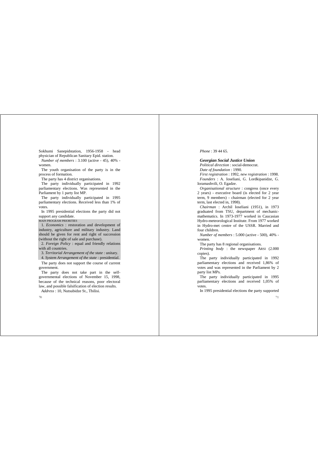Sokhumi Sanepidstation, 1956-1958 - head physician of Republican Sanitary Epid. station.

*Number of members* : 3.100 (active - 45), 40% women.

The youth organisation of the party is in the process of formation.

The party has 4 district organisations.

The party individually participated in 1992 parliamentary elections. Was represented in the Parliament by 1 party list MP.

The party individually participated in 1995 parliamentary elections. Received less than 1% of votes.

In 1995 presidential elections the party did not support any candidate.

MAIN PROGRAM PRIORITIES

1. *Economics* : restoration and development of industry, agriculture and military industry. Land should be given for rent and right of succession (without the right of sale and purchase).

2. *Foreign Policy* : equal and friendly relations with all countries.

3. *Territorial Arrangement of the state* : unitary.

4. *System Arrangement of the state* : presidential.

The party does not support the course of current government.

The party does not take part in the selfgovernmental elections of November 15, 1998, because of the technical reasons, poor electoral law, and possible falsification of election results.

*Address* : 10, Nutsubidze St., Tbilisi.

 $\overline{20}$ 

*Phone* : 39 44 65.

*Georgian Social Justice Union Political direction* : social-democrat. *Date of foundation* : 1990.

*First registration* : 1992, *new registration* : 1998. *Founders* : A. Ioseliani, G. Lordkipanidze, G. Ioramashvili, O. Egadze.

*Organisational structure* : congress (once every 2 years) - executive board (is elected for 2 year term, 9 members) - chairman (elected for 2 year term, last elected in, 1998).

*Chairman* : Archil Ioseliani (1951), in 1973 graduated from TSU, department of mechanicmathematics. In 1973-1977 worked in Caucasian Hydro-meteorological Institute. From 1977 worked in Hydro-met centre of the USSR. Married and four children.

*Number of members* : 5.000 (active - 500), 40% women.

The party has 8 regional organisations.

*Printing body* : the newspaper ARSI (2.000 copies).

The party individually participated in 1992 parliamentary elections and received 1,86% of votes and was represented in the Parliament by 2 party list MPs.

The party individually participated in 1995 parliamentary elections and received 1,05% of votes.

In 1995 presidential elections the party supported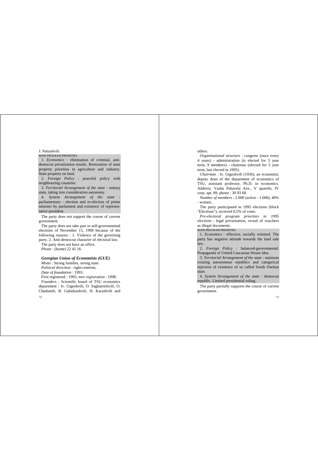## J. Patiashvili.

MAIN PROGRAM PRIORITIES

1. *Economics* : elimination of criminal, antidemocrat privatisation results. Restoration of state property priorities in agriculture and industry. State property on land.

2. *Foreign Policy* : peaceful policy with neighbouring countries.

3. *Territorial Arrangement of the state* : unitary state, taking into consideration autonomy.

4. *System Arrangement of the state* : parliamentary - election and re-election of prime minister by parliament and existence of representative president.

The party does not support the course of current government.

The party does not take part in self-governmental elections of November 15, 1998 because of the following reasons : 1. Violence of the governing party. 2. Anti-democrat character of electoral law.

The party does not have an office. *Phone* : (home) 22 41 16.

# *Georgian Union of Economists (GUE)*

 $72$ *Motto* : Strong families, strong state. *Political direction* : right-centrists. *Date of foundation* : 1993. First registered : 1995; *new registration* : 1998. *Founders* : Scientific board of TSU economics department : Iv. Gigoshvili, O. Saghareishvili, O. Chaduneli, B. Gabidzashvili, H. Karashvili and

# others.

*Organisational structure* : congress (once every 4 years) - administration (is elected for 5 year term, 9 members) - chairman (elected for 5 year term, last elected in 1995).

*Chairman* : Iv. Gigoshvili (1936), an economist, deputy dean of the department of economics of TSU, assistant professor, Ph.D. in economics. Address; Vazha Pshavela Ave., V quartile, IV corp. apt. 89, phone : 30 93 68.

*Number of members* : 2.000 (active - 1.000), 40% - women.

The party participated in 1995 elections (block "Elections"), received 0,5% of votes.

*Pre-electoral program priorities in 1995 elections* : legal privatisation, reveal of vouchers as illegal documents.

#### MAIN PROGRAM PRIORITIES

1. *Economics* : effective, socially oriented. The party has negative attitude towards the land sale law.

2. *Foreign Policy* : balanced-governmental. Propaganda of United Caucasian House idea.

3. *Territorial Arrangement of the state* : maintain existing autonomous republics and categorical rejection of existence of so called South Osetian state.

4. *System Arrangement of the state* : democrat republic. Limited presidential ruling.

The party partially supports the course of current government.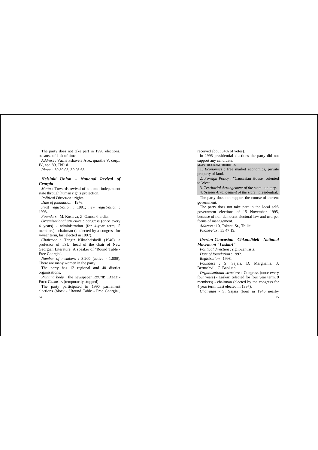The party does not take part in 1998 elections, because of lack of time. *Address* : Vazha Pshavela Ave., quartile V, corp., IV, apt. 89, Tbilisi. *Phone* : 30 30 08; 30 93 68.

# *Helsinki Union – National Revival of Georgia*

*Motto* : Towards revival of national independent state through human rights protection.

*Political Direction* : rights.

*Date of foundation* : 1976.

*First registration* : 1991; *new registration* : 1998.

*Founders* : M. Kostava, Z. Gamsakhurdia.

*Organisational structure* : congress (once every 4 years) - administration (for 4-year term, 5 members) - chairman (is elected by a congress for 4-year term, last elected in 1997).

*Chairman* : Tengiz Kikacheishvili (1940), a professor of TSU, head of the chair of New Georgian Literature. A speaker of "Round Table - Free Georgia".

*Number of members* : 3.200 (active - 1.800), There are many women in the party.

The party has 12 regional and 40 district organisations.

*Printing body* : the newspaper ROUND TABLE - FREE GEORGIA (temporarily stopped).

The party participated in 1990 parliament elections (block - "Round Table - Free Georgia",

 $74$ 

received about 54% of votes).

In 1995 presidential elections the party did not support any candidate.

MAIN PROGRAM PRIORITIES

1. *Economics* : free market economics, private property of land.

2. *Foreign Policy* : "Caucasian House" oriented to West.

3. *Territorial Arrangement of the state* : unitary.

4. *System Arrangement of the state* : presidential.

The party does not support the course of current government.

The party does not take part in the local selfgovernment elections of 15 November 1995, because of non-democrat electoral law and usurper forms of management.

*Address* : 10, Tskneti St., Tbilisi. *Phone/Fax* : 33 47 19.

# *Iberian-Caucasian Chkondideli National Movement "Laskari"*

*Political direction* : right-centrists. *Date of foundation* : 1992. *Registration* : 1998. *Founders* : S. Sajaia, D. Marghania, J. Beruashvili, C. Babluani. *Organisational structure* : Congress (once every

four years) - Laskari (elected for four year term, 9 members) - chairman (elected by the congress for 4 year term. Last elected in 1997).

*Chairman* - S. Sajaia (born in 1946 nearby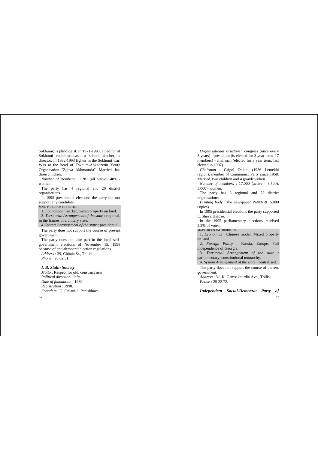Sokhumi), a philologist. In 1971-1993, an editor of Sokhumi radiobroadcast, a school teacher, a director. In 1992-1993 fighter in the Sokhumi war. Was at the head of Tskhum-Abkhazetin Youth Organisation "Zghva Akhmaurda". Married, has three children.

*Number of members* : 1.281 (all active), 40% women.

The party has 4 regional and 20 district organisations.

In 1995 presidential elections the party did not support any candidate.

#### MAIN PROGRAM PRIORITIES

1. *Economics* : market, mixed property on land. 3. *Territorial Arrangement of the state* : regional, in the frames of a unitary state.

4. *System Arrangement of the state* : presidential.

The party does not support the course of present government.

The party does not take part in the local selfgovernment elections of November 15, 1998 because of anti-democrat election regulations. *Address* : 39, Chitaia St., Tbilisi. *Phone* : 95 62 31.

#### *I. B. Stalin Society*

*Motto* : Respect for old, construct new. *Political direction* : lefts. *Date of foundation* : 1989. *Registration* : 1998. *Founders* : G. Oniani, I. Pantskhava.

76

*Organisational structure* : congress (once every 3 years) - presidium (is elected for 3 year term, 17 members) - chairman (elected for 3 year term, last elected in 1997).

*Chairman* : Grigol Oniani (1936 Lentekhi region), member of Communist Party since 1958. Married, two children and 4 grandchildren.

*Number of members* : 17.000 (active - 3.500), 3.000 - women.

The party has 8 regional and 28 district organisations.

*Printing body* : the newspaper PASUKHI (5.000 copies).

In 1995 presidential elections the party supported E. Shevardnadze.

In the 1995 parliamentary elections received 2,2% of votes.

MAIN PROGRAM PRIORITIES

1. *Economics* : Chinese model. Mixed property on land.

2. *Foreign Policy* : Russia, Europe. Full independence of Georgia.

3. *Territorial Arrangement of the state* : parliamentary, constitutional monarchy.

4. *System Arrangement of the state* : centralised.

The party does not support the course of current government.

*Address* : 31, K. Gamsakhurdia Ave., Tbilisi. *Phone* : 25 22.72.

-77 *Independent Social-Democrat Party of*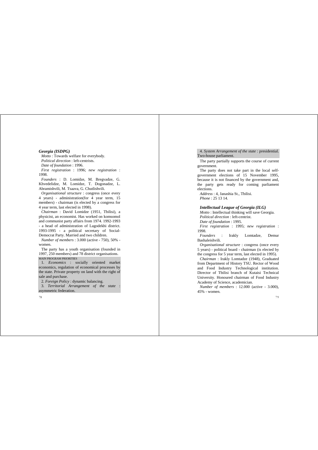#### *Georgia (ISDPG)*

*Motto* : Towards welfare for everybody. *Political direction* : left-centrists. *Date of foundation* : 1996. *First registration* : 1996; *new registration* : 1998.

*Founders* : D. Lomidze, M. Bregvadze, G. Khvedelidze, M. Lomidze, T. Dogonadze, L. Abramishvili, M. Tsaava, G. Chutlishvili.

*Organisational structure* : congress (once every 4 years) - administration(for 4 year term, 15 members) - chairman (is elected by a congress for 4 year term, last elected in 1998).

*Chairman* : David Lomidze (1951, Tbilisi), a physicist, an economist. Has worked on komsomol and communist party affairs from 1974. 1992-1993 - a head of administration of Lagodekhi district. 1993-1995 - a political secretary of Social-Democrat Party. Married and two children.

*Number of members* : 3.000 (active - 750), 50% women.

The party has a youth organisation (founded in 1997, 250 members) and 78 district organisations. MAIN PROGRAM PRIORITIES

1. *Economics* : socially oriented market economics, regulation of economical processes by the state. Private property on land with the right of sale and purchase.

2. *Foreign Policy* : dynamic balancing.

3. *Territorial Arrangement of the state* : asymmetric federation.

78

4. *System Arrangement of the state* : presidential. Two-house parliament.

The party partially supports the course of current government.

The party does not take part in the local selfgovernment elections of 15 November 1995, because it is not financed by the government and, the party gets ready for coming parliament elections.

*Address* : 4, Janashia St., Tbilisi. *Phone* : 25 13 14.

#### *Intellectual League of Georgia (ILG)*

*Motto* : Intellectual thinking will save Georgia. *Political direction* : left-centrist. *Date of foundation* : 1995.

*First registration* : 1995; *new registration* :

1998.

*Founders* : Irakly Lomtadze, Demur Bashaleishvili.

*Organisational structure* : congress (once every 5 years) - political board - chairman (is elected by the congress for 5 year term, last elected in 1995).

*Chairman* : Irakly Lomtadze (1948), Graduated from Department of History TSU. Rector of Wood and Food Industry Technological institution. Director of Tbilisi branch of Kutaisi Technical University. Honoured chairman of Food Industry Academy of Science, academician.

*Number of members* : 12.000 (active - 3.000), 45% - women.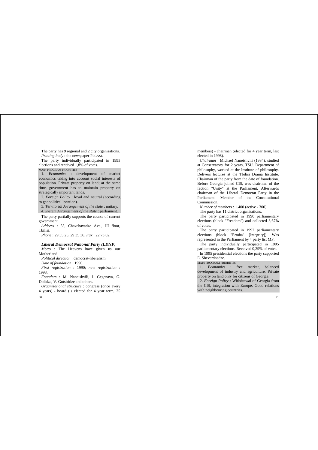The party has 9 regional and 2 city organisations. *Printing body* : the newspaper PEGASI.

The party individually participated in 1995 elections and received 1,8% of votes.

MAIN PROGRAM PRIORITIES

1. *Economics* : development of market economics taking into account social interests of population. Private property on land; at the same time, government has to maintain property on strategically important lands.

2. *Foreign Policy* : loyal and neutral (according to geopolitical location).

3. *Territorial Arrangement of the state* : unitary. 4. *System Arrangement of the state* : parliament.

The party partially supports the course of current government.

*Address* : 55, Chavchavadze Ave., III floor, Tbilisi.

*Phone* : 29 35 25, 29 35 36. *Fax* : 22 73 02.

#### *Liberal Democrat National Party (LDNP)*

*Motto* : The Heavens have given us our Motherland.

*Political direction* : democrat-liberalism.

*Date of foundation* : 1990.

*First registration* : 1990; *new registration* : 1998.

*Founders* : M. Naneishvili, I. Gegenava, G. Dolidze, V. Gotsiridze and others.

 $80$ *Organisational structure* : congress (once every 4 years) - board (is elected for 4 year term, 25 members) - chairman (elected for 4 year term, last elected in 1998).

*Chairman* : Michael Naneishvili (1934), studied at Conservatory for 2 years, TSH. Department of philosophy, worked at the Institute of philosophy. Delivers lectures at the Tbilisi Drama Institute. Chairman of the party from the date of foundation. Before Georgia joined CIS, was chairman of the faction "Unity" at the Parliament. Afterwards chairman of the Liberal Democrat Party in the Parliament. Member of the Constitutional Commission.

*Number of members* : 1.400 (active - 300).

The party has 11 district organisations.

The party participated in 1990 parliamentary elections (block "Freedom") and collected 3,67% of votes.

The party participated in 1992 parliamentary elections (block "Ertoba" [Integrity]). Was represented in the Parliament by 4 party list MP.

The party individually participated in 1995 parliamentary elections. Received 0,29% of votes.

In 1995 presidential elections the party supported E. Shevardnadze.

#### MAIN PROGRAM PRIORITIES

1. *Economics* : free market, balanced development of industry and agriculture. Private property on land only for citizens of Georgia.

2. *Foreign Policy* : Withdrawal of Georgia from the CIS, integration with Europe. Good relations with neighbouring countries.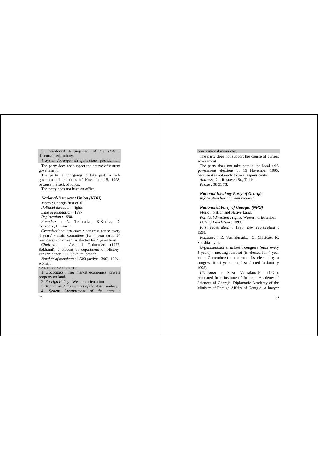3. *Territorial Arrangement of the state* : decentralised, unitary.

4. *System Arrangement of the state* : presidential.

The party does not support the course of current government.

The party is not going to take part in selfgovernmental elections of November 15, 1998, because the lack of funds.

The party does not have an office.

#### *National-Democrat Union (NDU)*

*Motto* : Georgia first of all. *Political direction* : rights. *Date of foundation* : 1997. *Registration* : 1998. *Founders* : A. Tedoradze, K.Kodua, D. Tevzadze, E. Esartia.

*Organisational structure* : congress (once every 4 years) - main committee (for 4 year term, 14 members) - chairman (is elected for 4 years term).

*Chairman* : Avtandil Tedoradze (1977, Sokhumi), a student of department of History-Jurisprudence TSU Sokhumi branch.

*Number of members* : 1.500 (active - 300), 10% women.

#### MAIN PROGRAM PRIORITIES

1. *Economics* : free market economics, private property on land.

2. *Foreign Policy* : Western orientation.

3. *Territorial Arrangement of the state* : unitary.

4. *System Arrangement of the state* :

82

#### constitutional monarchy.

The party does not support the course of current government.

The party does not take part in the local selfgovernment elections of 15 November 1995, because it is not ready to take responsibility. *Address* : 21, Rustaveli St., Tbilisi. *Phone* : 98 31 73.

*National Ideology Party of Georgia Information has not been received.*

#### *Nationalist Party of Georgia (NPG)*

*Motto* : Nation and Native Land. *Political direction* : rights, Western orientation. *Date of foundation* : 1993.

*First registration* : 1993; *new registration* : 1998.

*Founders* : Z. Vashakmadze, G. Chlaidze, K. Shoshiashvili.

*Organisational structure* : congress (once every 4 years) - meeting /darbazi (is elected for 4 year term, 7 members) - chairman (is elected by a congress for 4 year term, last elected in January 1998).

*Chairman* : Zaza Vashakmadze (1972), graduated from institute of Justice - Academy of Sciences of Georgia, Diplomatic Academy of the Ministry of Foreign Affairs of Georgia. A lawyer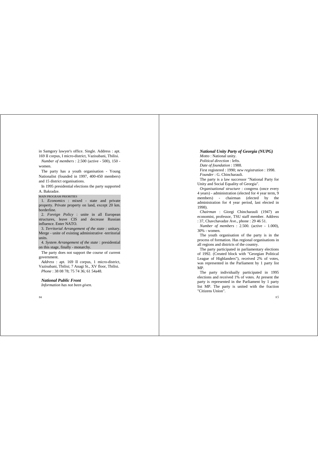in Samgory lawyer's office. Single. Address : apt. 169 II corpus, I micro-district, Vazisubani, Tbilisi. *Number of members* : 2.500 (active - 500), 150 women.

The party has a youth organisation - Young Nationalist (founded in 1997, 400-450 members) and 15 district organisations.

In 1995 presidential elections the party supported A. Bakradze.

## MAIN PROGRAM PRIORITIES

1. *Economics* : mixed - state and private property. Private property on land, except 20 km. borderline.

2. *Foreign Policy* : unite in all European structures, leave CIS and decrease Russian influence. Enter NATO.

3. *Territorial Arrangement of the state* : unitary. Merge - unite of existing administrative -territorial units.

4. *System Arrangement of the state* : presidential on this stage, finally - monarchy.

The party does not support the course of current government.

*Address* : apt. 169 II corpus, 1 micro-district, Vazisubani, Tbilisi; 7 Anagi St., XV floor, Tbilisi. *Phone* : 38 08 78; 75 74 36; 61 54a48.

# *National Public Front*

*Information has not been given.*

# *National Unity Party of Georgia (NUPG)*

*Motto* : National unity. *Political direction* : lefts. *Date of foundation* : 1988. First registered : 1990; *new registration* : 1998. *Founder* : G. Chincharauli.

The party is a law successor "National Party for Unity and Social Equality of Georgia".

*Organisational structure* : congress (once every 4 years) - administration (elected for 4 year term, 9 members) - chairman (elected by the administration for 4 year period, last elected in 1998).

*Chairman* : Giorgi Chincharauli (1947) an economist, professor, TSU staff member. Address : 37, Chavchavadze Ave., phone : 29 46 51.

*Number of members* : 2.500. (active - 1.000), 30% - women.

The youth organisation of the party is in the process of formation. Has regional organisations in all regions and districts of the country.

The party participated in parliamentary elections of 1992. (Created block with "Georgian Political League of Highlanders"), received 2% of votes, was represented in the Parliament by 1 party list MP.

The party individually participated in 1995 elections and received 1% of votes. At present the party is represented in the Parliament by 1 party list MP. The party is united with the fraction "Citizens Union".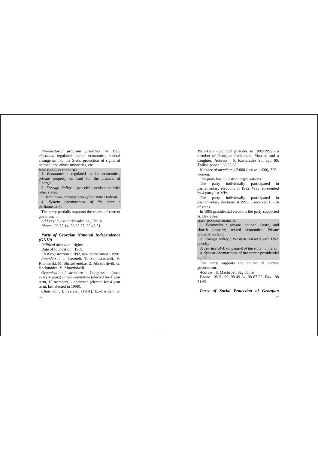*Pre-electoral program priorities in 1995 elections*: regulated market economics, federal arrangement of the State, protection of rights of national and ethnic minorities, etc.

MAIN PROGRAM PRIORITIES

1. *Economics* : regulated market economics, private property on land for the citizens of Georgia.

2. *Foreign Policy* : peaceful coexistence with other states.

3. *Territorial Arrangement of the state* : federal.

4. *System Arrangement of the state* : parliamentary.

The party partially supports the course of current government.

*Address* : 5, Balanchivadze St., Tbilisi. *Phone* : 99 73 14; 93 65 57; 29 46 51.

# *Party of Georgian National Independence (GNIP)*

*Political direction* : rights. Date of foundation : 1989. *First registration* : 1992, *new registration* : 1998. *Founders* : I. Tsereteli, T. Sumbatashvili, V.

Khomeriki, M. Sharashenidze, Z. Abramishvili, G. Jincharadze, V. Mtavrishvili.

*Organisational structure* : Congress : (once every 4 years) - main committee (elected for 4 year term, 12 members) - chairman (elected for 4 year term, last elected in 1998).

*Chairman* : I. Tsereteli (1961). Ex-dissident, in

86

1983-1987 - political prisoner, in 1992-1995 - a member of Georgian Parliament, Married and a daughter. Address : 5, Kavtaradze St., apt. 60, Thilisi, phone  $: 30, 55, 60$ .

*Number of members* : 2.000 (active - 400), 306 women.

The party has 36 district organisations.

The party individually participated in parliamentary elections of 1992. Was represented by 4 party list MPs.

The party individually participated in parliamentary elections of 1995. It received 1,86% of votes.

In 1995 presidential elections the party supported A. Bakradze.

MAIN PROGRAM PRIORITIES

1. *Economics* : private, national (state) and church property, mixed economics. Private property on land.

2. *Foreign policy* : Western oriented with USA priority.

3. *Territorial Arrangement of the state* : unitary. 4. *System Arrangement of the state* : presidential republic.

The party supports the course of current government.

*Address* : 8, Machabeli St., Tbilisi.

*Phone* : 98 51 69; 98 49 84; 98 67 55. *Fax* : 98 51 69.

 $87$ *Party of Social Protection of Georgian*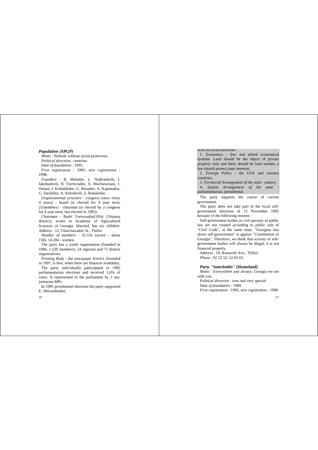#### *Population (SPGP)*

*Motto* : Nobody without social protection. *Political direction* : centrists. *Date of foundation* : 1995. *First registration* : 1995; *new registration* : 1998.

*Founders* : B. Meladze, L. Nadirashvili, I. Iakobashvili, B. Tsertsvadze, A. Machavariani, J. Oniani, I. Kobakhidze, G. Bitsadze, A. Kapanadze, G. Saralidze, A. Keloshvili, Z. Robakidze.

*Organisational structure* : congress (once every 4 years) - board (is elected for 4 year term, 21members) - chairman (is elected by a congress for 4 year term, last elected in 1995).

*Chairman* : Badri Tsertsvadze(1954, Chiatura district), works in Academy of Agricultural Sciences of Georgia. Married, has six children. Address : 12, Chavchavadze St., Tbilisi.

*Number of members* : 32.516 (active - about 158), 14.284 - women.

The party has a youth organisation (founded in 1996, 1.220 members), 24 regional and 71 district organisations.

*Printing Body* : the newspaper KHSNA (founded in 1997, is free, when there are finances available).

The party individually participated in 1995 parliamentarian elections and received 1,6% of votes. Is represented in the parliament by 2 maioritarian MPs.

In 1995 presidential elections the party supported E. Shevardnadze.

88

#### MAIN PROGRAM PRIORITIES

1. *Economics* : free and mixed economical systems. Land should be the object of private property only and there should be land market; a law should protect state interests.

2. *Foreign Policy* : the USA and western countries.

3. *Territorial Arrangement of the state* : unitary.

4. *System Arrangement of the state* : parliamentarian, presidential.

The party supports the course of current government.

The party does not take part in the local selfgovernment elections of 15 November 1995 because of the following reasons :

Self-government bodies as civil persons of public law are not created according to public rule of "Civil Code", at the same time, "Georgian law about self-government" is against "Constitution of Georgia". Therefore, we think that activity of selfgovernment bodies will always be illegal, it is not financed properly.

*Address* : 18, Rustaveli Ave., Tbilisi. *Phone* : 92 22 52; 52 83 65.

# *Party "Samshoblo" (Homeland)*

*Motto* : Everywhere and always, Georgia we are with you.

*Political direction* : own and very special. *Date of foundation* : 1989. *First registration* : 1995, *new registration* : 1998.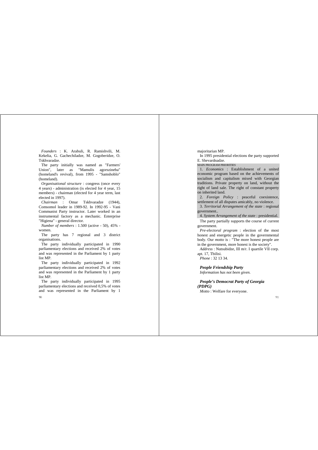*Founders* : K. Arabuli, R. Ramishvili, M. Kekelia, G. Gachechiladze, M. Gogoberidze, O. Tskhvaradze.

The party initially was named as "Farmers' Union", later as "Mamulis agorszineba" (homeland's revival), from 1995 - "Samshoblo" (homeland).

*Organisational structure* : congress (once every 4 years) - administration (is elected for 4 year, 15 members) - chairman (elected for 4 year term, last elected in 1997).

*Chairman* : Omar Tskhvaradze (1944), Comsomol leader in 1989-92. In 1992-95 - Vani Communist Party instructor. Later worked in an instrumental factory as a mechanic. Enterprise "Higiena" - general director.

*Number of members* : 1.500 (active - 50), 45% women.

The party has 7 regional and 3 district organisations.

The party individually participated in 1990 parliamentary elections and received 2% of votes and was represented in the Parliament by 1 party list MP.

The party individually participated in 1992. parliamentary elections and received 2% of votes and was represented in the Parliament by 1 party list MP.

The party individually participated in 1995 parliamentary elections and received 0,5% of votes and was represented in the Parliament by 1 majoritarian MP.

In 1995 presidential elections the party supported E. Shevardnadze.

MAIN PROGRAM PRIORITIES

1. *Economics* : Establishment of a united economic program based on the achievements of socialism and capitalism mixed with Georgian traditions. Private property on land, without the right of land sale. The right of constant property on inherited land.

2. *Foreign Policy* : peaceful coexistence, settlement of all disputes amicably, no violence.

3. *Territorial Arrangement of the state* : regional government..

4. *System Arrangement of the state* : presidential.

The party partially supports the course of current government.

*Pre-electoral program* : election of the most honest and energetic people in the governmental body. Our *motto* is : "The more honest people are in the government, more honest is the society".

*Address* : Nutsubidze, III m/r. I quartile VII corp. apt. 17, Tbilisi.

*Phone* : 32 13 34.

*People Friendship Party*

*Information has not been given.*

*People's Democrat Party of Georgia (PDPG) Motto* : Welfare for everyone.

 $90$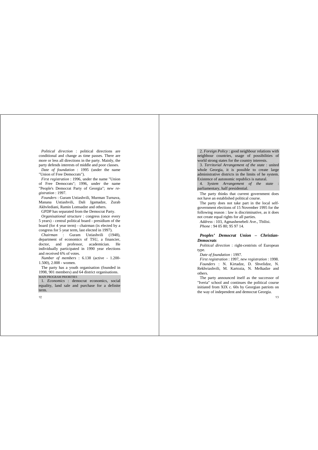*Political direction* : political directions are conditional and change as time passes. There are more or less all directions in the party. Mainly, the party defends interests of middle and poor classes.

*Date of foundation* : 1995 (under the name "Union of Free Democrats").

*First registration* : 1996, under the name "Union of Free Democrats"; 1996, under the name "People's Democrat Party of Georgia"; *new registration* : 1997.

*Founders* : Guram Ustiashvili, Murman Turnava, Manana Ustiashvili, Dali Jgamadze, Zurab Akhvlediani, Ramin Lomsadze and others.

GPDP has separated from the Democrat Party.

*Organisational structure* : congress (once every 5 years) - central political board - presidium of the board (for 4 year term) - chairman (is elected by a congress for 5 year term, last elected in 1997).

*Chairman* : Guram Ustiashvili (1948), department of economics of TSU, a financier, doctor, and professor, academician. He individually participated in 1990 year elections and received 6% of votes.

*Number of members* : 6.138 (active - 1.200- 1.500), 2.008 - women.

The party has a youth organisation (founded in 1998, 901 members) and 64 district organisations. MAIN PROGRAM PRIORITIES

1. *Economics* : democrat economics, social equality, land sale and purchase for a definite term.

 $92$ 

2. *Foreign Policy* : good neighbour relations with neighbour countries, usage of possibilities of world strong states for the country interests.

3. *Territorial Arrangement of the state* : united whole Georgia, it is possible to create large administrative districts in the limits of he system. Existence of autonomic republics is natural.

4. *System Arrangement of the state* : parliamentary, half presidential.

The party thinks that current government does not have an established political course.

The party does not take part in the local selfgovernment elections of 15 November 1995 for the following reason : law is discriminative, as it does not create equal rights for all parties.

*Address* : 103, Agmashenebeli Ave., Tbilisi. *Phone* : 94 05 80; 95 97 14.

# *Peoples' Democrat Union – Christian-Democrats*

*Political direction* : right-centrists of European type.

*Date of foundation* : 1997.

*First registration* : 1997, *new registration* : 1998. *Founders* : N. Kirtadze, D. Shvelidze, N. Rekhviashvili, M. Kartozia, N. Melkadze and others.

The party announced itself as the successor of "Iveria" school and continues the political course initiated from XIX c. 60s by Georgian patriots on the way of independent and democrat Georgia.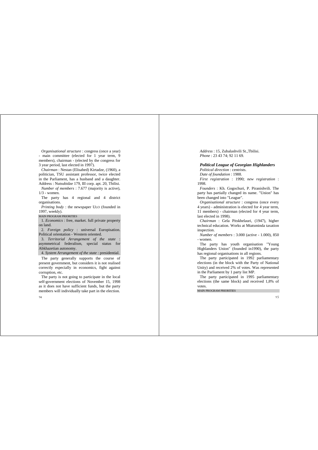*Organisational structure* : congress (once a year) - main committee (elected for 1 year term, 9 members), chairman - (elected by the congress for 3 year period, last elected in 1997).

*Chairman* : Nestan (Elisabed) Kirtadze, (1960), a politician, TSU assistant professor, twice elected in the Parliament, has a husband and a daughter. Address : Nutsubidze 179, III corp. apt. 20, Tbilisi.

*Number of members* : 7.677 (majority is active), 1/3 - women.

The party has 4 regional and 4 district organisations.

*Printing body* : the newspaper ULO (founded in 1997, weekly).

MAIN PROGRAM PRIORITIES

1. *Economics* : free, market. full private property on land.

2. *Foreign policy* : universal Europisation. Political orientation - Western oriented.

3. *Territorial Arrangement of the state* : asymmetrical federalism, special status for Abkhazetian autonomy.

4. *System Arrangement of the state* : presidential.

The party generally supports the course of present government, but considers it is not realised correctly especially in economics, fight against corruption, etc.

The party is not going to participate in the local self-government elections of November 15, 1998 as it does not have sufficient funds, but the party members will individually take part in the election.

*Address* : 15, Zubalashvili St.,Tbilisi. *Phone* : 23 43 74; 92 11 69.

#### *Political League of Georgian Highlanders*

*Political direction* : centrists. *Date of foundation* : 1988. *First registration* : 1990; *new registration* : 1998.

*Founders* : Kh. Gogochuri, P. Piranishvili. The party has partially changed its name. "Union" has been changed into "League".

*Organisational structure* : congress (once every 4 years) - administration is elected for 4 year term, 11 members) - chairman (elected for 4 year term, last elected in 1998).

*Chairman* : Gela Pitskhelauri, (1947), higher technical education. Works at Mtatsminda taxation inspection.

*Number of members* : 3.000 (active - 1.000), 850 - women.

The party has youth organisation "Young Highlanders Union" (founded in1990), the party has regional organisations in all regions.

The party participated in 1992 parliamentary elections (in the block with the Party of National Unity) and received 2% of votes. Was represented in the Parliament by 1 party list MP.

The party participated in 1995 parliamentary elections (the same block) and received 1,8% of votes.

MAIN PROGRAM PRIORITIES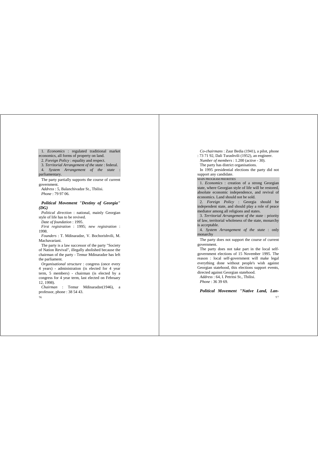1. *Economics* : regulated traditional market economics, all forms of property on land. 2. *Foreign Policy* : equality and respect. 3. *Territorial Arrangement of the state* : federal.

4. *System Arrangement of the state* : parliamentary.

The party partially supports the course of current government.

*Address* : 5, Balanchivadze St., Tbilisi. *Phone* : 79 97 06.

# *Political Movement "Destiny of Georgia" (DG)*

*Political direction* : national, mainly Georgian style of life has to be revived.

*Date of foundation* : 1995.

*First registration* : 1995; *new registration* : 1998.

*Founders* : T. Mdinaradze, V. Bochorishvili, M. Machavariani.

The party is a law successor of the party "Society of Nation Revival", illegally abolished because the chairman of the party - Temur Mdinaradze has left the parliament.

*Organisational structure* : congress (once every 4 years) - administration (is elected for 4 year term, 5 members) - chairman (is elected by a congress for 4 year term, last elected on February 12, 1998).

*Chairman* : Temur Mdinaradze(1946), a professor, phone : 38 54 43.

 $-06$ 

*Co-chairmans* : Zaur Bedia (1941), a pilot, phone : 73 71 92, Dali Turashvili (1952), an engineer. *Number of members* : 1.200 (active - 30). The party has district organisations.

In 1995 presidential elections the party did not support any candidate.

MAIN PROGRAM PRIORITIES

1. *Economics* : creation of a strong Georgian state, where Georgian style of life will be restored, absolute economic independence, and revival of economics. Land should not be sold.

2. *Foreign Policy* : Georgia should be independent state, and should play a role of peace mediator among all religions and states.

3. *Territorial Arrangement of the state* : priority of law, territorial wholeness of the state, monarchy is acceptable.

4. *System Arrangement of the state* : only monarchy

The party does not support the course of current government.

The party does not take part in the local selfgovernment elections of 15 November 1995. The reason : local self-government will make legal everything done without people's wish against Georgian statehood, this elections support events, directed against Georgian statehood.

*Address* : 64, I. Petritsi St., Tbilisi. *Phone* : 36 39 69.

*Political Movement "Native Land, Lan-*

 $-0.7$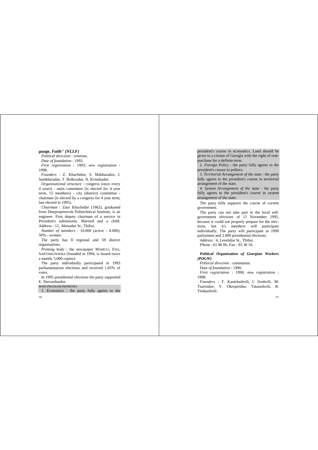# *guage, Faith" (NLLF)*

*Political direction* : centrists. *Date of foundation* : 1993. *First registration* : 1993; *new registration* : 1998.

*Founders* : Z. Khachidze, S. Makharadze, I. Samkharadze, T. Bolkvadze, N. Kvinikadze.

*Organisational structure* : congress (once every 4 years) - main committee (is elected for 4 year term, 15 members) - city (district) committee chairman (is elected by a congress for 4 year term, last elected in 1995).

*Chairman* : Zaur Khachidze (1962), graduated from Dnepropetrovsk Politechnical Institute, is an engineer. First deputy chairman of a service in President's submission. Married and a child. Address : 12, Abesadze St., Tbilisi.

*Number of members* : 10.000 (active - 8.000), 50% - women.

The party has 8 regional and 59 district organisations.

*Printing body* : the newspaper MAMULI, ENA, SARTSMUNOEBA (founded in 1994, is issued twice a month, 5.000 copies).

The party individually participated in 1995 parliamentarian elections and received 1,05% of votes.

In 1995 presidential elections the party supported E. Shevardnadze.

MAIN PROGRAM PRIORITIES

1. *Economics* : the party fully agrees to the

 $98$ 

president's course in economics. Land should be given to a citizen of Georgia with the right of rentpurchase for a definite term.

2. *Foreign Policy* : the party fully agrees to the president's course in politics.

3. *Territorial Arrangement of the state* : the party fully agrees to the president's course in territorial arrangement of the state.

4. *System Arrangement of the state* : the party fully agrees to the president's course in system arrangement of the state.

The party fully supports the course of current government.

The party can not take part in the local selfgovernment elections of 15 November 1995, because it could not properly prepare for the elections, but it's members will participate individually. The party will participate in 1999 parliament and 2.000 presidential elections.

*Address* : 4, Leselidze St., Tbilisi.

*Phone* : 61 86 06. *Fax* : 93 38 10.

# *Political Organisation of Georgian Workers (POGW)*

*Political direction* : communist.

*Date of foundation* : 1990.

*First registration* : 1990; *new registration* : 1998.

*Founders* : T. Kantelashvili, I. Jioshvili, M. Tsartsidze, V. Okropiridze, Tatarashvili, R. Tinikashvili.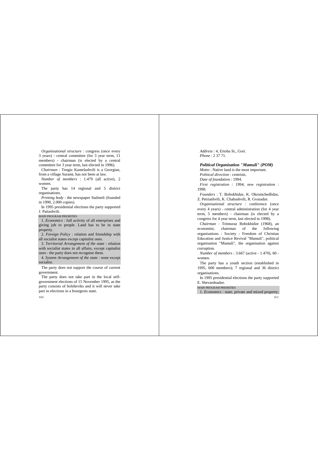*Organisational structure* : congress (once every 3 years) - central committee (for 3 year term, 11 members) - chairman (is elected by a central committee for 3 year term, last elected in 1996).

*Chairman* : Tengiz Kantelashvili is a Georgian, from a village Surami, has not been at law.

*Number of members* : 1.479 (all active), 2 women.

The party has 14 regional and 5 district organisations.

*Printing body* : the newspaper Stalineli (founded in 1990, 2.000 copies).

In 1995 presidential elections the party supported J. Patiashvili.

MAIN PROGRAM PRIORITIES

1. *Economics* : full activity of all enterprises and giving job to people. Land has to be in state property.

2. *Foreign Policy* : relation and friendship with all socialist states except capitalist ones.

3. *Territorial Arrangement of the state* : relation with socialist states in all affairs, except capitalist ones - the party does not recognise them.

4. *System Arrangement of the state* : none excep<sup>t</sup> socialist.

The party does not support the course of current government.

The party does not take part in the local selfgovernment elections of 15 November 1995, as the party consists of bolsheviks and it will never take part in elections in a bourgeois state.

 $100$ 

*Address* : 4, Ertoba St., Gori. *Phone* : 2 37 71.

# *Political Organisation "Mamuli" (POM)*

*Motto* : Native land is the most important. *Political direction* : centrists. *Date of foundation* : 1994. *First registration* : 1994; *new registration* : 1998.

*Founders* : T. Bobokhidze, K. Okromchedlidze, Z. Petriashvili, K. Chabashvili, R. Gvaradze.

*Organisational structure* : conference (once every 4 years) - central administration (for 4 year term, 5 members) - chairman (is elected by a congress for 4 year term, last elected in 1998).

*Chairman* : Teimuraz Bobokhidze (1968), an economist, chairman of the following organisations : Society - Freedom of Christian Education and Justice Revival "Mamuli", political organisation "Mamuli", the organisation against corruption.

*Number of members* : 3.667 (active - 1.470), 60 women.

The party has a youth section (established in 1995, 600 members); 7 regional and 36 district organisations.

In 1995 presidential elections the party supported E. Shevardnadze.

MAIN PROGRAM PRIORITIES

1. *Economics* : state, private and mixed property;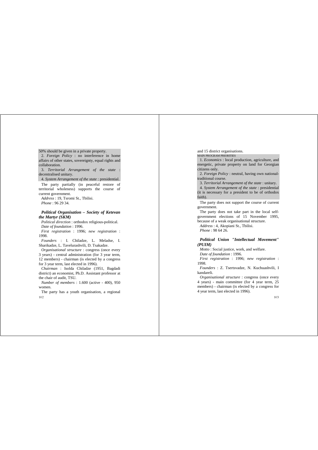50% should be given in a private property. 2. *Foreign Policy* : no interference in home affairs of other states, sovereignty, equal rights and collaboration.

3. *Territorial Arrangement of the state* : decentralised unitary.

4. *System Arrangement of the state* : presidential.

The party partially (in peaceful restore of territorial wholeness) supports the course of current government.

*Address* : 19, Tsromi St., Tbilisi. *Phone* : 96 29 34.

# *Political Organisation – Society of Ketevan the Martyr (SKM)*

*Political direction* : orthodox religious-political. *Date of foundation* : 1996. *First registration* : 1996; *new registration* : 1998.

*Founders* : I. Chiladze, L. Meladse, I. Sharikadze, L. Tavelurashvili, D. Tsakadze.

*Organisational structure* : congress (once every 3 years) - central administration (for 3 year term, 12 members) - chairman (is elected by a congress for 3 year term, last elected in 1996).

*Chairman* : Isolda Chiladze (1951, Bagdadi district) an economist, Ph.D. Assistant professor at the chair of audit, TSU.

*Number of members* : 1.600 (active - 400), 950 women.

102 The party has a youth organisation, a regional and 15 district organisations.

MAIN PROGRAM PRIORITIES

1. *Economics* : local production, agriculture, and energetic, private property on land for Georgian citizens only.

2. *Foreign Policy* : neutral, having own nationaltraditional course.

3. *Territorial Arrangement of the state* : unitary.

4. *System Arrangement of the state* : presidential (it is necessary for a president to be of orthodox faith).

The party does not support the course of current government.

The party does not take part in the local selfgovernment elections of 15 November 1995, because of a weak organisational structure. *Address* : 4, Akopiani St., Tbilisi.

*Phone* : 98 64 26.

*Political Union "Intellectual Movement" (PUIM)*

*Motto* : Social justice, work, and welfare.

*Date of foundation* : 1996.

*First registration* : 1996; *new registration* : 1998.

*Founders* : Z. Tsertsvadze, N. Kuchuashvili, I kandareli.

*Organisational structure* : congress (once every 4 years) - main committee (for 4 year term, 25 members) - chairman (is elected by a congress for 4 year term, last elected in 1996).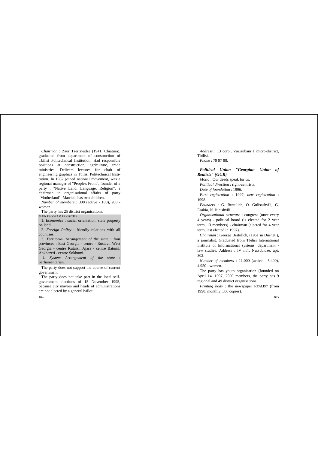*Chairman* : Zaur Tsertsvadze (1941, Chiatura), graduated from department of construction of Tbilisi Politechnical Institution. Had responsible positions at construction, agriculture, trade ministries. Delivers lectures for chair of engineering graphics in Tbilisi Politechnical Institution. In 1987 joined national movement, was a regional manager of "People's Front", founder of a party : "Native Land, Language, Religion", a chairman in organisational affairs of party "Motherland". Married, has two children.

*Number of members* : 300 (active - 100), 200 women.

The party has 25 district organisations. MAIN PROGRAM PRIORITIES

1. *Economics* : social orientation, state property on land.

2. *Foreign Policy* : friendly relations with all countries.

3. *Territorial Arrangement of the state* : four provinces : East Georgia - centre - Rustavi, West Georgia - centre Kutaisi, Ajara - centre Batumi, Abkhazeti - centre Sokhumi.

*4. System Arrangement of the state* : parliamentarian.

The party does not support the course of current government.

The party does not take part in the local selfgovernment elections of 15 November 1995, because city mayors and heads of administrations are not elected by a general ballot.

*Address* : 13 corp., Vazisubani 1 micro-district, Tbilisi. *Phone* : 79 97 88.

*Political Union "Georgian Union of Realists" (GUR)*

*Motto* : Our deeds speak for us.

*Political direction* : right-centrists.

*Date of foundation* : 1996.

*First registration* : 1997; *new registration* : 1998.

*Founders* : G. Bratulich, O. Gulisashvili, G. Esakia, N. Jijeishvili.

*Organisational structure* : congress (once every 4 years) - political board (is elected for 2 year term, 13 members) - chairman (elected for 4 year term, last elected in 1997).

*Chairman* : George Bratulich, (1961 in Dusheti), a journalist. Graduated from Tbilisi International Institute of Informational systems, department law studies. Address : IV m/r, Nutsubidze, apt. 302.

*Number of members* : 11.000 (active - 5.400), 4.950 - women.

The party has youth organisation (founded on April 14, 1997, 2500 members, the party has 9 regional and 49 district organisations.

*Printing body* : the newspaper REALIST (from 1998, monthly, 300 copies).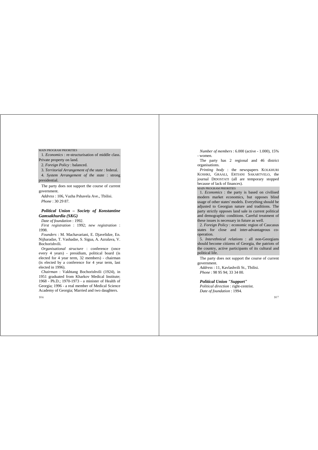#### MAIN PROGRAM PRIORITIES

1. *Economics* : re-structurisation of middle class. Private property on land.

2. *Foreign Policy* : balanced.

3. *Territorial Arrangement of the state* : federal.

4. *System Arrangement of the state* : strong presidential.

The party does not support the course of current government.

*Address* : 106, Vazha Pshavela Ave., Tbilisi. *Phone* : 30 29 87.

# *Political Union – Society of Konstantine Gamsakhurdia (SKG)*

*Date of foundation* : 1992. *First registration* : 1992; *new registration* : 1998.

*Founders* : M. Machavariani, E. Djavelidze, En. Nijharadze, T. Vashadze, S. Sigua, A. Azralava, V. Bochorishvili.

*Organisational structure* : conference (once every 4 years) - presidium, political board (is elected for 4 year term, 32 members) - chairman (is elected by a conference for 4 year term, last elected in 1996).

*Chairman* : Vakhtang Bochorishvili (1924), in 1951 graduated from Kharkov Medical Institute; 1968 - Ph.D.; 1970-1973 - a minister of Health of Georgia; 1996 - a real member of Medical Science Academy of Georgia; Married and two daughters.

*Number of members* : 6.000 (active - 1.000), 15% - women.

The party has 2 regional and 46 district organisations.

*Printing body* : the newspapers KOLKHURI KOSHKI, GRAALI, ERTIANI SAKARTVELO, the journal DIDOSTATI (all are temporary stopped because of lack of finances).

#### MAIN PROGRAM PRIORITIES

1. *Economics* : the party is based on civilised modern market economics, but opposes blind usage of other states' models. Everything should be adjusted to Georgian nature and traditions. The party strictly opposes land sale in current political and demographic conditions. Careful treatment of these issues is necessary in future as well.

2. *Foreign Policy* : economic region of Caucasus states for close and inter-advantageous cooperation.

5. *Interethnical relations* : all non-Georgians should become citizens of Georgia, the patriots of the country, active participants of its cultural and political life.

The party does not support the course of current government.

*Address* : 11, Kavlashvili St., Tbilisi. *Phone* : 98 95 94; 33 34 00.

*Political Union "Support" Political direction* : right-centrist. *Date of foundation* : 1994.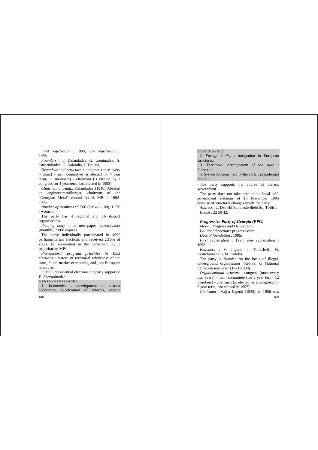*First registration* : 1995; *new registration* : 1998.

*Founders* : T. Kalandadze, G. Lominadze, A. Tavartkiladze, G. Kalandia, J. Tsulaia.

*Organisational structure* : congress (once every 4 years) - main committee (is elected for 4 year term, 11 members) - chairman (is elected by a congress for 4 year term, last elected in 1998).

*Chairman* : Tengiz Kalandadze (1940, Abasha) an engineer-metallurgist, chairman of the "Georgian Metal" control board, MP in 1992- 1995.

*Number of members* : 5.500 (active - 100), 1.236 - women.

The party has 4 regional and 16 district organisations.

*Printing body* : the newspaper TANADGOMA (monthly, 2.000 copies).

The party individually participated in 1995 parliamentarian elections and received 2,16% of votes. Is represented in the parliament by 3 majoritarian MPs.

*Pre-electoral program priorities in 1995 elections* : restore of territorial wholeness of the state, found market economics, and join European structures.

In 1995 presidential elections the party supported E. Shevardnadze.

#### MAIN PROGRAM PRIORITIES

1. *Economics* : development of market economics, acceleration of reforms, private

#### 108

#### property on land.

2. *Foreign Policy* : integration in European structures.

3. *Territorial Arrangement of the state* : federation

4. *System Arrangement of the state* : presidential republic.

The party supports the course of current government.

The party does not take part in the local selfgovernment elections of 15 November 1995 because of structural changes inside the party.

*Address* : 2, Dzmebi Zubalashviliebi St., Tbilisi. *Phone* : 22 50 42.

# *Progressive Party of Georgia (PPG)*

*Motto* : Progress and Democracy. *Political direction* : progressivism. *Date of foundation* : 1995. *First registration* : 1995; *new registration* : 1998.

*Founders* : V. Jhgenti, I. Toliashvili, N. Kentchurashvili, M. Kutelia.

The party is founded on the basis of illegal. underground organisation "Revival of National Self-consciousness" (1971-1980).

*Organisational structure* : congress (once every two years) - main committee (for a year term, 12 members) - chairman (is elected by a congress for 2 year term, last elected in 1997).

109 *Chairman* : Vajha Jhgenti (1938), in 1956 was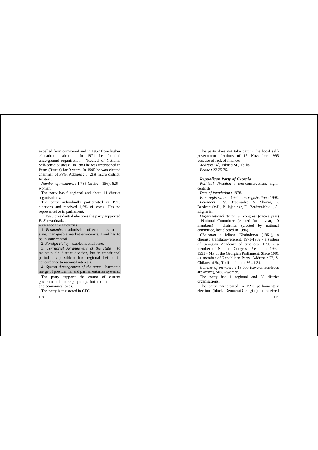expelled from comsomol and in 1957 from higher education institution. In 1971 he founded underground organisation - "Revival of National Self-consciousness". In 1980 he was imprisoned in Perm (Russia) for 9 years. In 1995 he was elected chairman of PPG. Address : 8, 21st micro district, Rustavi.

*Number of members* : 1.735 (active - 156), 626 women.

The party has 6 regional and about 11 district organisations.

The party individually participated in 1995 elections and received 1,6% of votes. Has no representative in parliament.

In 1995 presidential elections the party supported E. Shevardnadze.

MAIN PROGRAM PRIORITIES

1. *Economics* : submission of economics to the state, manageable market economics. Land has to be in state control.

2. *Foreign Policy* : stable, neutral state.

3. *Territorial Arrangement of the state* : to maintain old district division, but in transitional period it is possible to have regional division, in concordance to national interests.

4. *System Arrangement of the state* : harmonic merge of presidential and parliamentarian systems.

The party supports the course of current government in foreign policy, but not in - home and economical ones.

The party is registered in CEC.

110

The party does not take part in the local selfgovernment elections of 15 November 1995 because of lack of finances.

Address :  $4^a$ , Tskneti St., Thilisi. *Phone* : 23 25 75.

# *Republican Party of Georgia*

*Political direction* : neo-conservatism, rightcentrists.

*Date of foundation* : 1978.

*First registration* : 1990, *new registration* : 1998. *Founders* : V. Dzabiradze, V. Shonia, L. Berdzenishvili, P. Jajanidze, D. Berdzenishvili, A. Zhgheria.

*Organisational structure* : congress (once a year) - National Committee (elected for 1 year, 10 members) - chairman (elected by national committee, last elected in 1996).

*Chairman* : Ivliane Khaindrava (1951), a chemist, translator-referent. 1973-1989 - a system of Georgian Academy of Sciences. 1990 - a member of National Congress Presidium. 1992-1995 - MP of the Georgian Parliament. Since 1991 - a member of Republican Party. Address : 22, S. Chikovani St., Tbilisi, phone : 36 41 34.

*Number of members* : 13.000 (several hundreds are active), 50% - women.

The party has 1 regional and 28 district organisations.

The party participated in 1990 parliamentary elections (block "Democrat Georgia") and received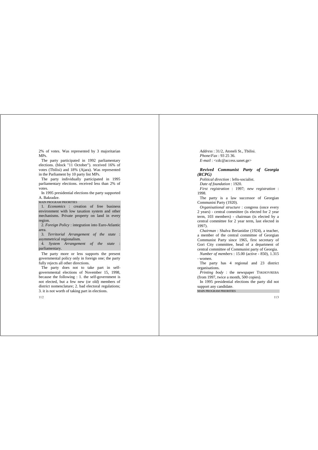2% of votes. Was represented by 3 majoritarian MPs.

The party participated in 1992 parliamentary elections. (block "11 October"). received 16% of votes (Tbilisi) and 18% (Ajara). Was represented in the Parliament by 10 party list MPs.

The party individually participated in 1995 parliamentary elections. received less than 2% of votes.

In 1995 presidential elections the party supported A. Bakradze.

MAIN PROGRAM PRIORITIES

1. *Economics* : creation of free business environment with low taxation system and other mechanisms. Private property on land in every region.

2. *Foreign Policy* : integration into Euro-Atlantic area.

3. *Territorial Arrangement of the state* : asymmetrical regionalism.

4. *System Arrangement of the state* : parliamentary.

The party more or less supports the present governmental policy only in foreign one; the party fully rejects all other directions.

The party does not to take part in selfgovernmental elections of November 15, 1998, because the following : 1. the self-government is not elected, but a few new (or old) members of district nomenclature; 2. bad electoral regulations; 3. it is not worth of taking part in elections.

112

*Address* : 31/2, Atoneli St., Tbilisi. *Phone*/*Fax* : 93 25 36. *E-mail* : <cdc@access.sanet.ge>

# *Revived Communist Party of Georgia (RCPG)*

*Political direction* : lefts-socialist. *Date of foundation* : 1920.

*First registration* : 1997; *new registration* : 1998.

The party is a law successor of Georgian Communist Party (1920).

*Organisational structure* : congress (once every 2 years) - central committee (is elected for 2 year term, 103 members) - chairman (is elected by a central committee for 2 year term, last elected in 1997).

*Chairman* : Shalva Berianidze (1924), a teacher, a member of the central committee of Georgian Communist Party since 1965, first secretary of Gori City committee, head of a department of central committee of Communist party of Georgia.

*Number of members* : 15.00 (active - 850), 1.315 - women.

The party has 4 regional and 23 district organisations.

*Printing body* : the newspaper TSKHOVREBA (from 1997, twice a month, 500 copies).

In 1995 presidential elections the party did not support any candidate.

MAIN PROGRAM PRIORITIES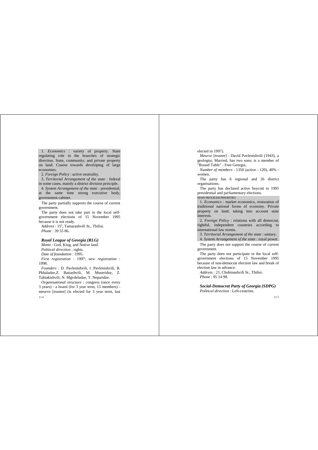1. *Economics* : variety of property. State regulating role in the branches of strategic direction. State, community, and private property on land. Course towards developing of large economies.

2. *Foreign Policy* : active neutrality.

3. *Territorial Arrangement of the state* : federal in some cases, mainly a district division principle.

4. *System Arrangement of the state* : presidential, at the same time strong executive body, government cabinet.

The party partially supports the course of current government.

The party does not take part in the local selfgovernment elections of 15 November 1995 because it is not ready.

Address : 15<sup>a</sup>, Tamarashvili St., Tbilisi. *Phone* : 39 55 86.

#### *Royal League of Georgia (RLG)*

*Motto* : God, King, and Native land. *Political direction* : rights. *Date of foundation* : 1995. *First registration* : 1997; *new registration* : 1998.

*Founders* : D. Pavlenishvili, l. Pavlenishvili, B. Pkhaladze,Z. Batiashvili, M. Museridze, Z. Taktakishvili, N. Mgvdeladze, T. Neparidze.

114 *Organisational structure* : congress (once every 3 years) - a board (for 3 year term, 13 members) meurve [trustee] (is elected for 3 year term, last elected in 1997).

*Meurve* [trustee] : David Pavlenishvili (1943), a geologist, Married, has two sons; is a member of "Round Table" - Free Georgia.

*Number of members* : 1350 (active - 120), 40% women.

The party has 6 regional and 26 district organisations.

The party has declared active boycott to 1995 presidential and parliamentary elections.

#### MAIN PROGRAM PRIORITIES

1. *Economics* : market economics, restoration of traditional national forms of economy. Private property on land; taking into account state interests.

2. *Foreign Policy* : relations with all democrat, rightful, independent countries according to international law norms.

3. *Territorial Arrangement of the state* : unitary.

4. *System Arrangement of the state* : royal power.

The party does not support the course of current government.

The party does not participate in the local selfgovernment elections of 15 November 1995 because of non-democrat election law and break of election law in advance.

*Address* : 21, Chubinashvili St., Tbilisi. *Phone* : 95 14 98.

*Social-Democrat Party of Georgia (SDPG) Political direction* : Left-centrists.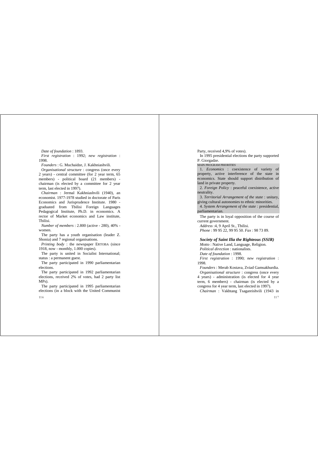*Date of foundation* : 1893. *First registration* : 1992; *new registration* : 1998.

*Founders* : G. Muchaidze, J. Kakhniashvili.

*Organisational structure* : congress (once every 2 years) - central committee (for 2 year term, 65 members) - political board (21 members) chairman (is elected by a committee for 2 year term, last elected in 1997).

*Chairman* : Jermal Kakhniashvili (1940), an economist. 1977-1978 studied in doctorate of Paris Economics and Jurisprudence Institute. 1980 graduated from Tbilisi Foreign Languages Pedagogical Institute, Ph.D. in economics. A rector of Market economics and Law institute, Tbilisi.

*Number of members* : 2.800 (active - 280), 40% women.

The party has a youth organisation (leader Z. Shonia) and 7 regional organisations.

*Printing body* : the newspaper ERTOBA (since 1918, now - monthly, 1.000 copies).

The party is united in Socialist International; status : a permanent guest.

The party participated in 1990 parliamentarian elections.

The party participated in 1992 parliamentarian elections, received 2% of votes, had 2 party list MPs).

The party participated in 1995 parliamentarian elections (in a block with the United Communist

116

Party, received 4,9% of votes).

In 1995 presidential elections the party supported P. Giorgadze.

MAIN PROGRAM PRIORITIES

1. *Economics* : coexistence of variety of property, active interference of the state in economics. State should support distribution of land in private property.

2. *Foreign Policy* : peaceful coexistence, active neutrality.

3. *Territorial Arrangement of the state* : unitary, giving cultural autonomies to ethnic minorities.

4. *System Arrangement of the state* : presidential, parliamentarian.

The party is in loyal opposition of the course of current government.

*Address* :4, 9 April St., Tbilisi. *Phone* : 99 95 22, 99 95 50. *Fax* : 98 73 89.

#### *Society of Saint Ilia the Righteous (SSIR)*

*Motto* : Native Land, Language, Religion. *Political direction* : nationalists. *Date of foundation* : 1998. *First registration* : 1990; *new registration* : 1998.

*Founders* : Merab Kostava, Zviad Gamsakhurdia. *Organisational structure* : congress (once every 4 years) - administration (is elected for 4 year term, 6 members) - chairman (is elected by a congress for 4 year term, last elected in 1997).

*Chairman* : Vakhtang Tsagareishvili (1943 in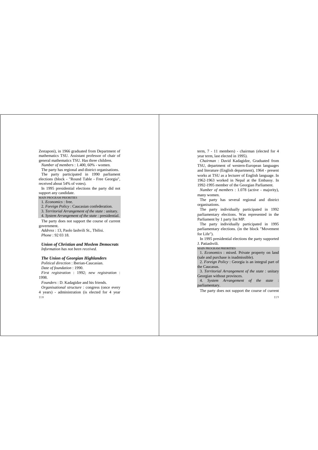Zestaponi), in 1966 graduated from Department of mathematics TSU. Assistant professor of chair of general mathematics TSU. Has three children.

*Number of members* : 1.400, 60% - women.

The party has regional and district organisations. The party participated in 1990 parliament elections (block - "Round Table - Free Georgia", received about 54% of votes).

In 1995 presidential elections the party did not support any candidate.

#### MAIN PROGRAM PRIORITIES

1. *Economics* : free.

2. *Foreign Policy* : Caucasian confederation.

3. *Territorial Arrangement of the state* : unitary.

4. *System Arrangement of the state* : presidential.

The party does not support the course of current government.

*Address* : 13, Paolo Iashvili St., Tbilisi. *Phone* : 92 03 18.

*Union of Christian and Moslem Democrats*

*Information has not been received.*

# *The Union of Georgian Highlanders*

*Political direction* : Iberian-Caucasian. *Date of foundation* : 1990. *First registration* : 1992; *new registration* : 1998.

*Founders* : D. Kadagidze and his friends.

118 *Organisational structure* : congress (once every 4 years) - administration (is elected for 4 year term, 7 - 11 members) - chairman (elected for 4 year term, last elected in 1995).

*Chairman* : David Kadagidze, Graduated from TSU, department of western-European languages and literature (English department), 1964 - present works at TSU as a lecturer of English language. In 1962-1963 worked in Nepal at the Embassy. In 1992-1995 member of the Georgian Parliament.

*Number of members* : 1.078 (active - majority), many women.

The party has several regional and district organisations.

The party individually participated in 1992 parliamentary elections. Was represented in the Parliament by 1 party list MP.

The party individually participated in 1995 parliamentary elections. (in the block "Movement for Life").

In 1995 presidential elections the party supported J. Patiashvili.

MAIN PROGRAM PRIORITIES

1. *Economics* : mixed. Private property on land (sale and purchase is inadmissible).

2. *Foreign Policy* : Georgia is an integral part of the Caucasus.

3. *Territorial Arrangement of the state* : unitary Georgian without provinces.

4. *System Arrangement of the state* : parliamentary.

The party does not support the course of current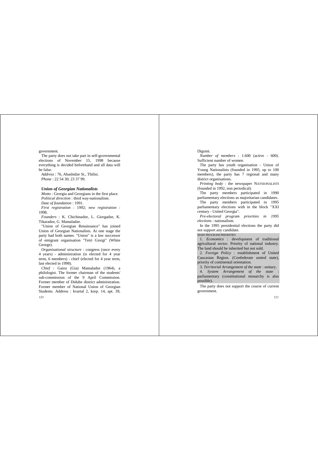government.

The party does not take part in self-governmental elections of November 15, 1998 because everything is decided beforehand and all data will be false.

*Address* : 76, Abashidze St., Tbilisi. *Phone* : 22 54 30; 23 37 99.

#### *Union of Georgian Nationalists*

*Motto* : Georgia and Georgians in the first place. *Political direction* : third way-nationalism. *Date of foundation* : 1991.

*First registration* : 1992; *new registration* : 1998.

*Founders* : K. Chichinadze, L. Giorgadze, K. Tikaradze, G. Mamaladze.

"Union of Georgian Renaissance" has joined Union of Georgian Nationalists. At one stage the party had both names. "Union" is a law successor of emigrant organisation "Tetri Giorgi" (White George).

*Organisational structure* : congress (once every 4 years) - administration (is elected for 4 year term, 6 members) - chief (elected for 4 year term, last elected in 1998).

120 *Chief* : Gaioz (Gia) Mamaladze (1964), a philologist. The former chairman of the students' sub-commission of the 9 April Commission. Former member of Didube district administration. Former member of National Union of Georgian Students. Address : kvartal 2, korp. 14, apt. 39,

## Digomi.

*Number of members* : 1.600 (active - 600). Sufficient number of women.

The party has youth organisation - Union of Young Nationalists (founded in 1995, up to 100 members), the party has 7 regional and many district organisations.

*Printing body* : the newspaper NATSIONALISTI (founded in 1992, non periodical).

The party members participated in 1990 parliamentary elections as majoritarian candidates.

The party members participated in 1995 parliamentary elections with in the block "XXI century - United Georgia".

*Pre-electoral program priorities in 1995 elections* : nationalism.

In the 1995 presidential elections the party did not support any candidate.

#### MAIN PROGRAM PRIORITIES

1. *Economics* : development of traditional agricultural sector. Priority of national industry. The land should be inherited but not sold.

2. *Foreign Policy* : establishment of United Caucasian Region. (Confederate united state), priority of continental orientation.

3. *Territorial Arrangement of the state* : unitary.

4. *System Arrangement of the state* : parliamentary (constitutional monarchy is also possible).

The party does not support the course of current government.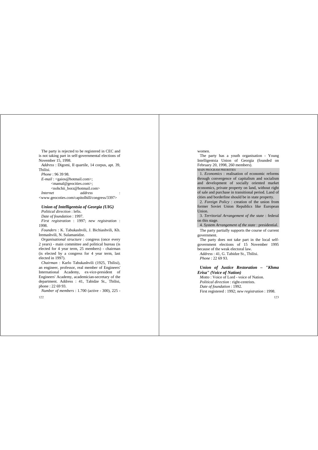The party is rejected to be registered in CEC and is not taking part in self-governmental elections of November 15, 1998.

*Address* : Digomi, II quartile, 14 corpus, apt. 39, Tbilisi.

*Phone* : 96 39 98. *E-mail* : <gaios@hotmail.com>; <mamal@geocities.com>; <nohchii\_borz@hotmail.com> *Internet address* : <www.geocoties.com/capitolhill/congress/3397>

# *Union of Intelligentsia of Georgia (UIG)*

*Political direction* : lefts. *Date of foundation* : 1997. *First registration* : 1997; *new registration* : 1998.

*Founders* : K. Tabukashvili, J. Bichiashvili, Kh. Iremashvili, N. Sulamanidze.

*Organisational structure* : congress (once every 2 years) - main committee and political bureau (is elected for 4 year term, 25 members) - chairman (is elected by a congress for 4 year term, last elected in 1997).

*Chairman* : Karlo Tabukashvili (1925, Tbilisi), an engineer, professor, real member of Engineers' International Academy, ex-vice-president of Engineers' Academy, academician-secretary of the department. Address : 41, Tabidze St., Tbilisi, phone : 22 69 93.

*Number of members* : 1.700 (active - 300), 225 -

122

#### women.

The party has a youth organisation - Young Intelligentsia Union of Georgia (founded on February 20, 1998, 260 members).

MAIN PROGRAM PRIORITIES

1. *Economics* : realisation of economic reforms through convergence of capitalism and socialism and development of socially oriented market economics, private property on land, without right of sale and purchase in transitional period. Land of cities and borderline should be in state property.

2. *Foreign Policy* : creation of the union from former Soviet Union Republics like European Union.

3. *Territorial Arrangement of the state* : federal on this stage.

4. *System Arrangement of the state* : presidential.

The party partially supports the course of current government.

The party does not take part in the local selfgovernment elections of 15 November 1995 because of the weak electoral law.

*Address* : 41, G. Tabidze St., Tbilisi. *Phone* : 22 69 93.

*Union of Justice Restoration – "Khma Erisa" (Voice of Nation)*

*Motto* : Voice of Lord - voice of Nation. *Political direction* : right-centrists. *Date of foundation* : 1992. First registered : 1992; *new registration* : 1998.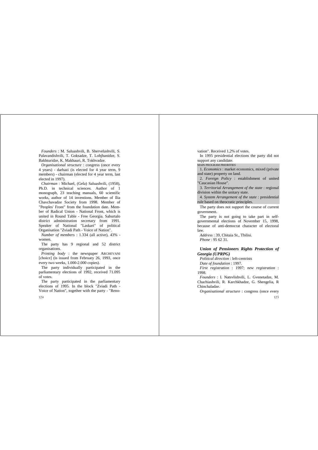*Founders* : M. Saluashvili, B. Shervelashvili, S. Palavandishvili, T. Goksadze, T. Lobjhanidze, S. Bakhturidze, K. Makhauri, R. Tokhvadze.

*Organisational structure* : congress (once every 4 years) - darbazi (is elected for 4 year term, 9 members) - chairman (elected for 4 year term, last elected in 1997).

*Chairman* : Michael, (Gela) Saluashvili, (1958), Ph.D. in technical sciences. Author of 1 monograph, 23 teaching manuals, 60 scientific works, author of 14 inventions. Member of Ilia Chavchavadze Society from 1998. Member of "Peoples' Front" from the foundation date. Member of Radical Union - National Front, which is united in Round Table - Free Georgia. Saburtalo district administration secretary from 1991. Speaker of National "Laskari" of political Organisation "Zviadi Path - Voice of Nation".

*Number of members* : 1.334 (all active), 43% women.

The party has 9 regional and 52 district organisations.

*Printing body* : the newspaper ARCHEVANI [choice] (is issued from February 26, 1993, once every two weeks, 1.000-2.000 copies).

The party individually participated in the parliamentary elections of 1992, received 71.095 of votes.

The party participated in the parliamentary elections of 1995. In the block "Zviadi Path - Voice of Nation", together with the party - "Renovation". Received 1,2% of votes.

In 1995 presidential elections the party did not support any candidate.

MAIN PROGRAM PRIORITIES

1. *Economics* : market economics, mixed (private and state) property on land.

2. *Foreign Policy* : establishment of united "Caucasian House".

3. *Territorial Arrangement of the state* : regional division within the unitary state.

4. *System Arrangement of the state* : presidential rule based on theocratic principles.

The party does not support the course of current government.

The party is not going to take part in selfgovernmental elections of November 15, 1998, because of anti-democrat character of electoral law.

*Address* : 39, Chitaia St., Tbilisi. *Phone* : 95 62 31.

*Union of Pensioners Rights Protection of Georgia (UPRPG)*

*Political direction* : left-centrists

*Date of foundation* : 1997.

*First registration* : 1997; *new registration* : 1998.

*Founders* : I. Natsvlishvili, L. Gvenetadze, M. Chachiashvili, R. Karchkhadze, G. Shengelia, R Chinchaladze.

*Organisational structure* : congress (once every

124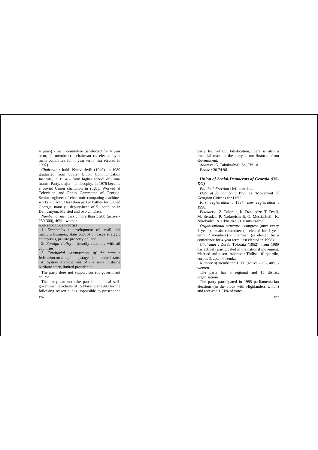4 years) - main committee (is elected for 4 year term, 11 members) - chairman (is elected by a main committee for 4 year term, last elected in 1997).

*Chairman* : Irakli Natsvlishvili (1949), in 1980 graduated from Soviet Union Communication Institute, in 1984 - from higher school of Communist Party, major - philosophy. In 1976 became a Soviet Union champion in rugby. Worked at Television and Radio Committee of Georgia. Senior engineer of electronic computing machines works - "Elva". Has taken part in battles for United Georgia, namely : deputy-head of 51 battalion in Dali canyon; Married and two children.

*Number of members* : more than 3.200 (active - 250-300), 40% - women.

MAIN PROGRAM PRIORITIES

126

1. *Economics* : development of small and medium business, state control on large strategic enterprises, private property on land.

2. *Foreign Policy* : friendly relations with all countries.

3. *Territorial Arrangement of the state* : federation on a beginning stage, then - united state. 4. *System Arrangement of the state* : strong parliamentary, limited presidential.

The party does not support current government course.

The party can not take part in the local selfgovernment elections of 15 November 1995 for the following reason : it is impossible to present the party list without falsification, there is also a financial reason : the party is not financed from Government.

*Address* : 5, Tabukashvili St., Tbilisi. *Phone* : 30 74 96.

# *Union of Social-Democrats of Georgia (US-DG)*

*Political direction* : left-centrists.

*Date of foundation* : 1995 as "Movement of Georgian Citizens for Life".

*First registration* : 1997; *new registration* : 1998.

*Founders* : Z. Toloraia, K. Dzneladze, T. Dvali, M. Beradze, P. Nadareishvili, G. Mestiashvili, K. Nikobadze, A. Ckhaidze, D. Kintsurashvili.

*Organisational structure* : congress (once every 4 years) - main committee (is elected for 4 year term, 7 members) - chairman (is elected by a conference for 4 year term, last elected in 1998).

*Chairman* : Zurab Toloraia (1952), from 1989 has actively participated in the national movement. Married and a son. Address : Tbilisi,  $10<sup>b</sup>$  quartile, corpus 3, apt. 44 Temka.

*Number of members* : 1.500 (active - 75), 40% women.

The party has 6 regional and 15 district organisations.

The party participated in 1995 parliamentarian elections (in the block with Highlanders Union) and received 1,51% of votes.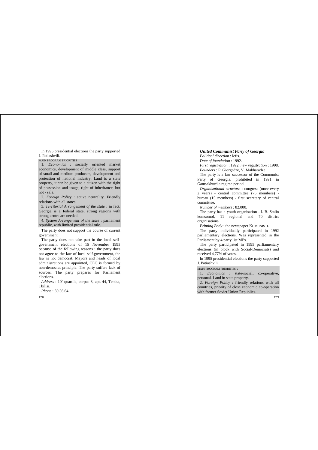In 1995 presidential elections the party supported J. Patiashvili.

MAIN PROGRAM PRIORITIES

1. *Economics* : socially oriented market economics, development of middle class, support of small and medium producers, development and protection of national industry. Land is a state property, it can be given to a citizen with the right of possession and usage, right of inheritance, but not - sale.

2. *Foreign Policy* : active neutrality. Friendly relations with all states.

3. *Territorial Arrangement of the state* : in fact, Georgia is a federal state, strong regions with strong centre are needed.

4. *System Arrangement of the state* : parliament republic, with limited presidential rule.

The party does not support the course of current government.

The party does not take part in the local selfgovernment elections of 15 November 1995 because of the following reasons : the party does not agree to the law of local self-government, the law is not democrat. Mayors and heads of local administrations are appointed, CEC is formed by non-democrat principle. The party suffers lack of sources. The party prepares for Parliament elections.

 $Address: 10<sup>b</sup> quartile, corpus 3, apt. 44, Temka,$ Tbilisi.

*Phone* : 60 36 64.

128

#### *United Communist Party of Georgia*

*Political direction* : lefts. *Date of foundation* : 1992. *First registration* : 1992, *new registration* : 1998. *Founders* : P. Giorgadze, V. Makharadze

The party is a law successor of the Communist Party of Georgia, prohibited in 1991 in Gamsakhurdia regime period.

*Organisational structure* : congress (once every 2 years) - central committee (75 members) bureau (15 members) - first secretary of central committee.

*Number of members* : 82.000.

The party has a youth organisation - I. B. Stalin komsomol, 11 regional and 70 district organisations.

*Printing Body* : the newspaper KOMUNISTI.

The party individually participated in 1992. parliamentary elections. Was represented in the Parliament by 4 party list MPs.

The party participated in 1995 parliamentary elections (in block with Social-Democrats) and received 4,77% of votes.

In 1995 presidential elections the party supported J. Patiashvili.

MAIN PROGRAM PRIORITIES :

1. *Economics* : state-social, co-operative, personal. Land in state property.

2. *Foreign Policy* : friendly relations with all countries, priority of close economic co-operation with former Soviet Union Republics.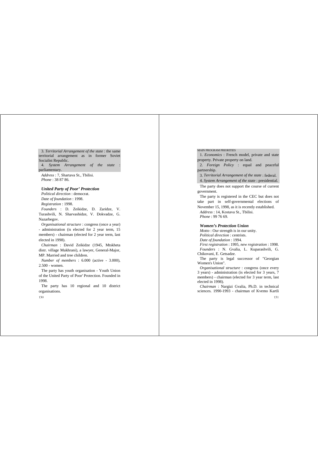3. *Territorial Arrangement of the state* : the same territorial arrangement as in former Soviet Socialist Republic.

4. *System Arrangement of the state* : parliamentary.

*Address* : 7, Shartava St., Tbilisi. *Phone* : 38 87 86.

# *United Party of Poor' Protection*

*Political direction* : democrat. *Date of foundation* : 1998.

*Registration* : 1998.

*Founders* : D. Zeikidze, D. Zaridze, V. Turashvili, N. Sharvashidze, V. Dokvadze, G. Nazarbegov.

*Organisational structure* : congress (once a year)

- administration (is elected for 2 year term, 15 members) - chairman (elected for 2 year term, last elected in 1998).

*Chairman* : David Zeikidze (1945, Mtskheta distr. village Mukhrani), a lawyer, General-Major, MP. Married and tree children.

*Number of members* : 6.000 (active - 3.000), 2.500 - women.

The party has youth organisation - Youth Union of the United Party of Poor' Protection. Founded in 1998.

The party has 10 regional and 10 district organisations.

130

MAIN PROGRAM PRIORITIES

1. *Economics* : French model, private and state property. Private property on land.

2. *Foreign Policy* : equal and peaceful partnership.

3. *Territorial Arrangement of the state* : federal.

4. *System Arrangement of the state* : presidential.

The party does not support the course of current government.

The party is registered in the CEC but does not take part in self-governmental elections of November 15, 1998, as it is recently established. *Address* : 14, Kostava St., Tbilisi. *Phone* : 99 76 69.

#### *Women's Protection Union*

*Motto* : Our strength is in our unity. *Political direction* : centrists. *Date of foundation* : 1994. *First registration* : 1995, *new registration* : 1998. *Founders* : N. Gvalia, L. Kuparashvili, G. Chikovani, E. Getsadze.

The party is legal successor of "Georgian Women's Union".

*Organisational structure* : congress (once every 3 years) - administration (is elected for 3 years, 7 members) - chairman (elected for 3 year term, last elected in 1998).

*Chairman* : Nargizi Gvalia, Ph.D. in technical sciences. 1990-1993 - chairman of Kvemo Kartli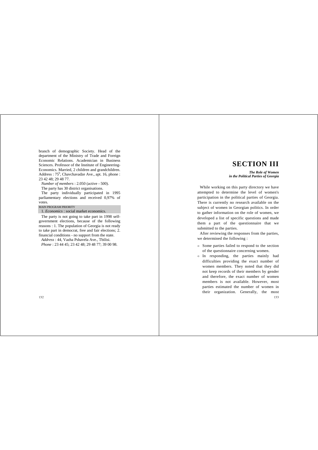branch of demographic Society. Head of the department of the Ministry of Trade and Foreign Economic Relations. Academician in Business Sciences. Professor of the Institute of Engineering-Economics. Married, 2 children and grandchildren. Address :  $75<sup>b</sup>$ . Chavchavadze Ave., apt. 16, phone : 23 42 48; 29 48 77.

*Number of members* : 2.050 (active - 500).

The party has 30 district organisations.

The party individually participated in 1995 parliamentary elections and received 0,97% of votes.

#### MAIN PROGRAM PRIORITY

1. *Economics* : social market economics.

The party is not going to take part in 1998 selfgovernment elections, because of the following reasons : 1. The population of Georgia is not ready to take part in democrat, free and fair elections; 2. financial conditions - no support from the state. *Address* : 44, Vazha Pshavela Ave., Tbilisi. *Phone* : 23 44 45; 23 42 48; 29 48 77; 39 00 98.

# **SECTION III**

*The Role of Women in the Political Parties of Georgia*

While working on this party directory we have attempted to determine the level of women's participation in the political parties of Georgia. There is currently no research available on the subject of women in Georgian politics. In order to gather information on the role of women, we developed a list of specific questions and made them a part of the questionnaire that we submitted to the parties.

After reviewing the responses from the parties, we determined the following :

- $\in$  Some parties failed to respond to the section of the questionnaire concerning women.
- 133  $\in$  In responding, the parties mainly had difficulties providing the exact number of women members. They noted that they did not keep records of their members by gender and therefore, the exact number of women members is not available. However, most parties estimated the number of women in their organization. Generally, the most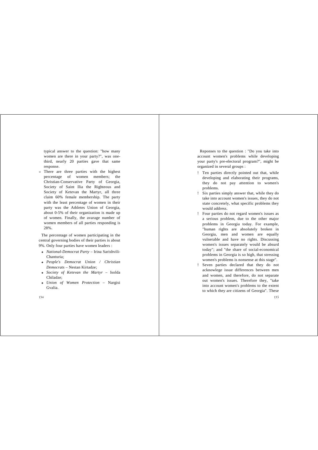typical answer to the question: "how many women are there in your party?", was onethird, nearly 20 parties gave that same response.

 $\Rightarrow$  There are three parties with the highest percentage of women members; the Christian-Conservative Party of Georgia, Society of Saint Ilia the Righteous and Society of Ketevan the Martyr, all three claim 60% female membership. The party with the least percentage of women in their party was the Athletes Union of Georgia, about 0-5% of their organization is made up of women. Finally, the avarage number of women members of all parties responding is 28%.

The percentage of women participating in the central governing bodies of their parties is about 9%. Only four parties have women leaders :

- <sup>Î</sup> *National-Democrat Party* Irina Sarishvili-Chanturia;
- <sup>Î</sup> *People's Democrat Union / Christian Democrats* – Nestan Kirtadze;
- <sup>Î</sup> *Society of Ketevan the Martyr* Isolda Chiladze;
- <sup>Î</sup> *Union of Women Protection* Nargisi Gvalia.

134

Reponses to the question : "Do you take into account women's problems while developing your party's pre-electoral program?", might be organized in several groups :

- ! Ten parties directly pointed out that, while developing and elaborating their programs, they do not pay attention to women's problems.
- ! Six parties simply answer that, while they do take into account women's issues, they do not state concretely, what specific problems they would address.
- ! Four parties do not regard women's issues as a serious problem, due to the other major problems in Georgia today. For example, "human rights are absolutely broken in Georgia, men and women are equally vulnerable and have no rights. Discussing women's issues separately would be absurd today"; and "the share of social-economical problems in Georgia is so high, that stressing women's problems is nonsense at this stage".
- Seven parties declared that they do not acknowlege issue differences between men and women, and therefore, do not separate out women's issues. Therefore they, "take into account women's problems to the extent to which they are citizens of Georgia". These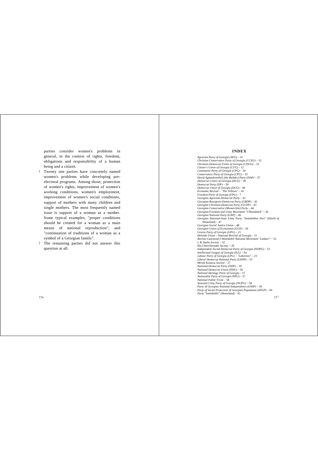parties consider women's problems in general, in the context of rights, freedom, obligations and responsibility of a human being and a citizen.

- ! Twenty one parties have concretely named women's problems while developing preelectoral programs. Among those; protection of women's rights, improvement of women's working conditions, women's employment, improvement of women's social conditions, support of mothers with many children and single mothers. The most frequently named issue is support of a woman as a mother. Some typical examples, "proper conditions should be created for a woman as a main means of national reproduction"; and "continuation of traditions of a woman as a symbol of a Georgian family".
- ! The remaining parties did not answer this question at all.

## **INDEX**

*Agrarian Party of Georgia (APG) –* 31 *Christian Conservative Party of Georgia (CCPG) –* 32 *Christian-Democrat Union of Georgia (CDUG) –* 33 *Citizen's Union of Georgia (CUG) –* 12 *Communist Party of Georgia (CPG) –* 34 *Conservative Party of Georgia (CPG) –* 35 *David Agmashenebeli (the Builder) Party (DAP) –* 37 *Democrat Centre of Georgia (DCG) –* 38 *Democrat Party (DP) –* 39 *Democrat Union of Georgia (DUG) –* 40 *Economic Revival – "The Yellows" –* 41 *Freedom Party of Georgia (FPG) –* 7 *Georgian Agrarian-Democrat Party –* 41 *Georgian Bourgeois-Democrat Party (GBDP) –* 42 *Georgian Christian-Democrat Party (GCDP) –* 43 *Georgian Conservative (Monarchist) Party –* 44 *Georgian Freedom and Unity Movement "Chkondideli" –* 45 *Georgian National Party (GNP) –* 46 *Georgian National-State Unity Party "Samshoblos Pari" (Shield of Homeland) –* 47 *Georgian Social Justice Union –* 48 *Georgian Union of Economists (GUE) –* 50 *Greens Party of Georgia (GPG) –* 21 *Helsinki Union – National Revival of Georgia –* 51 *Iberian-Caucasian Chkondideli National Movement "Laskari" –* 52 *I. B. Stalin Society –* 52 *Ilia Chavchavadze Society –* 26 *Independent Social-Democrat Party of Georgia (ISDPG) –* 53 *Intellectual League of Georgia (ILG) –* 54 *Labour Party of Georgia (LPG) – "Laborists" –* 23 *Liberal Democrat National Party (LDNP) –* 55 *Merab Kostava Society –* 27 *National-Democrat Party (NDP) –* 20 *National-Democrat Union (NDU) –* 56 *National Ideology Party of Georgia –* 57 *Nationalist Party of Georgia (NPG) –* 57 *National Public Front –* 58 *National Unity Party of Georgia (NUPG) –* 58 *Party of Georgian National Independence (GNIP) –* 59 *Party of Social Protection of Georgian Population (SPGP) –* 60 *Party "Samshoblo" (Homeland) –* 61